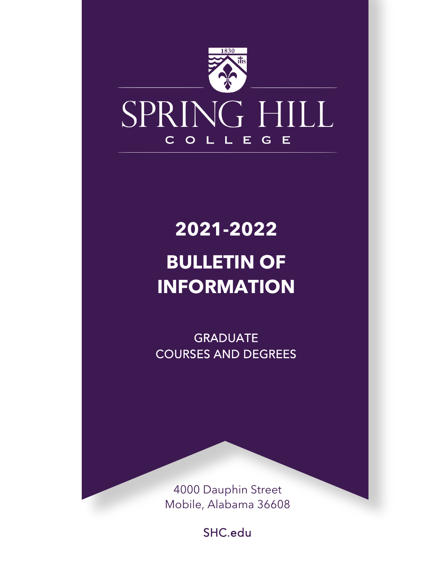

## **2021-2022**

# **BULLETIN OF INFORMATION**

GRADUATE COURSES AND DEGREES

4000 Dauphin Street Mobile, Alabama 36608

SHC.edu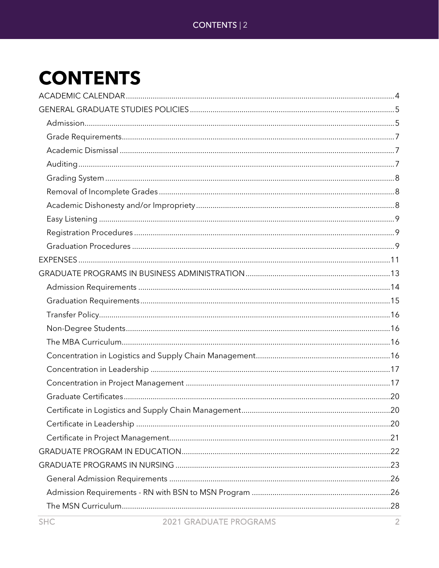## **CONTENTS**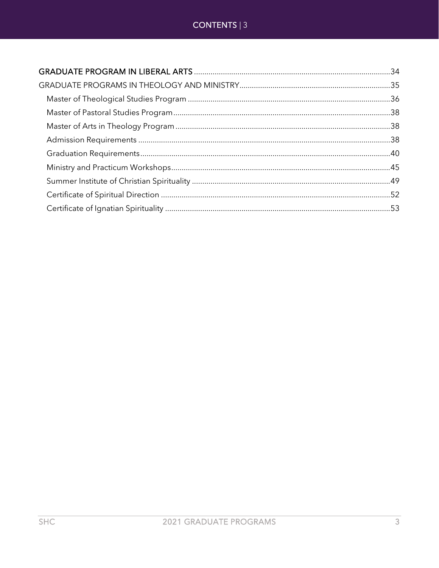### CONTENTS | 3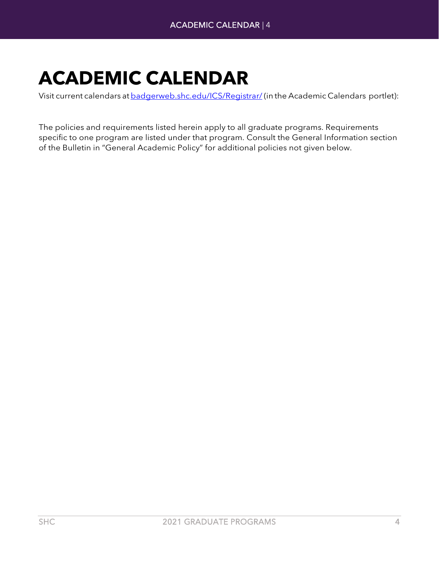## <span id="page-3-0"></span>**ACADEMIC CALENDAR**

Visit current calendars at [badgerweb.shc.edu/ICS/Registrar/](https://badgerweb.shc.edu/ICS/Registrar/)(in the Academic Calendars portlet):

The policies and requirements listed herein apply to all graduate programs. Requirements specific to one program are listed under that program. Consult the General Information section of the Bulletin in "General Academic Policy" for additional policies not given below.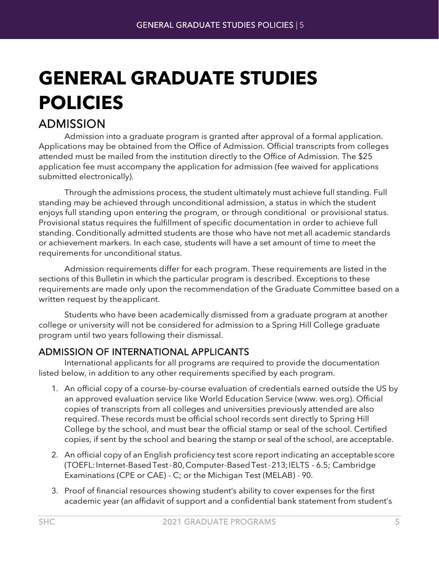# <span id="page-4-0"></span>**GENERAL GRADUATE STUDIES POLICIES**

<span id="page-4-1"></span>ADMISSION Admission into a graduate program is granted after approval of a formal application. Applications may be obtained from the Office of Admission. Official transcripts from colleges attended must be mailed from the institution directly to the Office of Admission. The \$25 application fee must accompany the application for admission (fee waived for applications submitted electronically).

Through the admissions process, the student ultimately must achieve full standing. Full standing may be achieved through unconditional admission, a status in which the student enjoys full standing upon entering the program, or through conditional or provisional status. Provisional status requires the fulfillment of specific documentation in order to achieve full standing. Conditionally admitted students are those who have not met all academic standards or achievement markers. In each case, students will have a set amount of time to meet the requirements for unconditional status.

Admission requirements differ for each program. These requirements are listed in the sections of this Bulletin in which the particular program is described. Exceptions to these requirements are made only upon the recommendation of the Graduate Committee based on a written request by theapplicant.

Students who have been academically dismissed from a graduate program at another college or university will not be considered for admission to a Spring Hill College graduate program until two years following their dismissal.

### ADMISSION OF INTERNATIONAL APPLICANTS

International applicants for all programs are required to provide the documentation listed below, in addition to any other requirements specified by each program.

- 1. An official copy of a course-by-course evaluation of credentials earned outside the US by an approved evaluation service like World Education Service [\(www.](http://www.wes.org/) [wes.org\)](http://www.wes.org/). Official copies of transcripts from all colleges and universities previously attended are also required. These records must be official school records sent directly to Spring Hill College by the school, and must bear the official stamp or seal of the school. Certified copies, if sent by the school and bearing the stamp or seal of the school, are acceptable.
- 2. An official copy of an English proficiency test score report indicating an acceptablescore (TOEFL:Internet-BasedTest-80,Computer-BasedTest-213;IELTS - 6.5; Cambridge Examinations (CPE or CAE) - C; or the Michigan Test (MELAB) - 90.
- 3. Proof of financial resources showing student's ability to cover expenses for the first academic year (an affidavit of support and a confidential bank statement from student's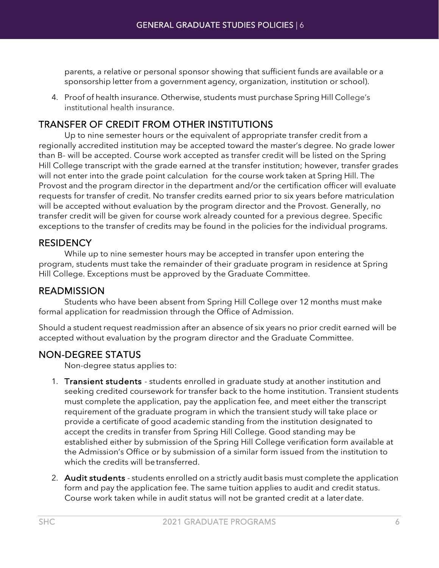parents, a relative or personal sponsor showing that sufficient funds are available or a sponsorship letter from a government agency, organization, institution or school).

4. Proof of health insurance. Otherwise, students must purchase Spring Hill College's institutional health insurance.

#### TRANSFER OF CREDIT FROM OTHER INSTITUTIONS

Up to nine semester hours or the equivalent of appropriate transfer credit from a regionally accredited institution may be accepted toward the master's degree. No grade lower than B- will be accepted. Course work accepted as transfer credit will be listed on the Spring Hill College transcript with the grade earned at the transfer institution; however, transfer grades will not enter into the grade point calculation for the course work taken at Spring Hill. The Provost and the program director in the department and/or the certification officer will evaluate requests for transfer of credit. No transfer credits earned prior to six years before matriculation will be accepted without evaluation by the program director and the Provost. Generally, no transfer credit will be given for course work already counted for a previous degree. Specific exceptions to the transfer of credits may be found in the policies for the individual programs.

#### **RESIDENCY**

While up to nine semester hours may be accepted in transfer upon entering the program, students must take the remainder of their graduate program in residence at Spring Hill College. Exceptions must be approved by the Graduate Committee.

#### **READMISSION**

Students who have been absent from Spring Hill College over 12 months must make formal application for readmission through the Office of Admission.

Should a student request readmission after an absence of six years no prior credit earned will be accepted without evaluation by the program director and the Graduate Committee.

#### NON-DEGREE STATUS

Non-degree status applies to:

- 1. Transient students students enrolled in graduate study at another institution and seeking credited coursework for transfer back to the home institution. Transient students must complete the application, pay the application fee, and meet either the transcript requirement of the graduate program in which the transient study will take place or provide a certificate of good academic standing from the institution designated to accept the credits in transfer from Spring Hill College. Good standing may be established either by submission of the Spring Hill College verification form available at the Admission's Office or by submission of a similar form issued from the institution to which the credits will betransferred.
- 2. Audit students students enrolled on a strictly audit basis must complete the application form and pay the application fee. The same tuition applies to audit and credit status. Course work taken while in audit status will not be granted credit at a laterdate.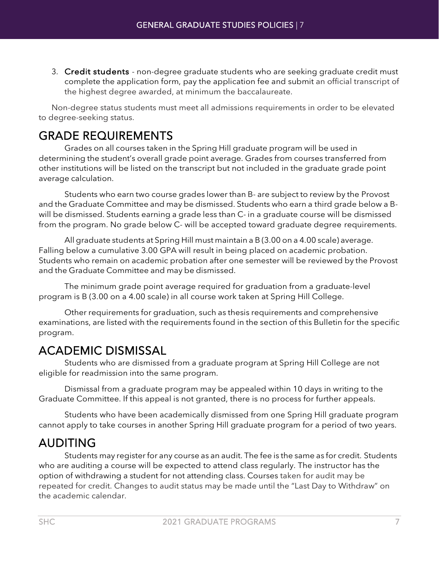3. Credit students - non-degree graduate students who are seeking graduate credit must complete the application form, pay the application fee and submit an official transcript of the highest degree awarded, at minimum the baccalaureate.

Non-degree status students must meet all admissions requirements in order to be elevated to degree-seeking status.

<span id="page-6-0"></span>GRADE REQUIREMENTS Grades on all courses taken in the Spring Hill graduate program will be used in determining the student's overall grade point average. Grades from courses transferred from other institutions will be listed on the transcript but not included in the graduate grade point average calculation.

Students who earn two course grades lower than B- are subject to review by the Provost and the Graduate Committee and may be dismissed. Students who earn a third grade below a Bwill be dismissed. Students earning a grade less than C- in a graduate course will be dismissed from the program. No grade below C- will be accepted toward graduate degree requirements.

All graduate students at Spring Hill must maintain a B (3.00 on a 4.00 scale) average. Falling below a cumulative 3.00 GPA will result in being placed on academic probation. Students who remain on academic probation after one semester will be reviewed by the Provost and the Graduate Committee and may be dismissed.

The minimum grade point average required for graduation from a graduate-level program is B (3.00 on a 4.00 scale) in all course work taken at Spring Hill College.

Other requirements for graduation, such as thesis requirements and comprehensive examinations, are listed with the requirements found in the section of this Bulletin for the specific program.

<span id="page-6-1"></span>ACADEMIC DISMISSAL<br>Students who are dismissed from a graduate program at Spring Hill College are not eligible for readmission into the same program.

Dismissal from a graduate program may be appealed within 10 days in writing to the Graduate Committee. If this appeal is not granted, there is no process for further appeals.

Students who have been academically dismissed from one Spring Hill graduate program cannot apply to take courses in another Spring Hill graduate program for a period of two years.

<span id="page-6-2"></span>AUDITING Students may register for any course as an audit. The fee is the same as for credit. Students who are auditing a course will be expected to attend class regularly. The instructor has the option of withdrawing a student for not attending class. Courses taken for audit may be repeated for credit. Changes to audit status may be made until the "Last Day to Withdraw" on the academic calendar.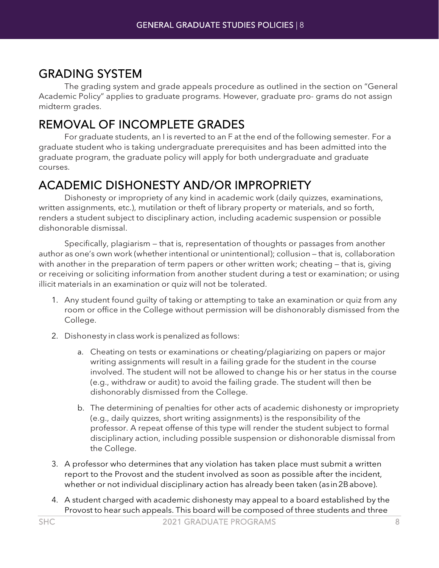<span id="page-7-0"></span>GRADING SYSTEM<br>The grading system and grade appeals procedure as outlined in the section on "General Academic Policy" applies to graduate programs. However, graduate pro- grams do not assign midterm grades.

<span id="page-7-1"></span>REMOVAL OF INCOMPLETE GRADES<br>For graduate students, an I is reverted to an F at the end of the following semester. For a graduate student who is taking undergraduate prerequisites and has been admitted into the graduate program, the graduate policy will apply for both undergraduate and graduate courses.

# <span id="page-7-2"></span>ACADEMIC DISHONESTY AND/OR IMPROPRIETY Dishonesty or impropriety of any kind in academic work (daily quizzes, examinations,

written assignments, etc.), mutilation or theft of library property or materials, and so forth, renders a student subject to disciplinary action, including academic suspension or possible dishonorable dismissal.

Specifically, plagiarism — that is, representation of thoughts or passages from another author as one's own work (whether intentional or unintentional); collusion — that is, collaboration with another in the preparation of term papers or other written work; cheating - that is, giving or receiving or soliciting information from another student during a test or examination; or using illicit materials in an examination or quiz will not be tolerated.

- 1. Any student found guilty of taking or attempting to take an examination or quiz from any room or office in the College without permission will be dishonorably dismissed from the College.
- 2. Dishonesty in class work is penalized as follows:
	- a. Cheating on tests or examinations or cheating/plagiarizing on papers or major writing assignments will result in a failing grade for the student in the course involved. The student will not be allowed to change his or her status in the course (e.g., withdraw or audit) to avoid the failing grade. The student will then be dishonorably dismissed from the College.
	- b. The determining of penalties for other acts of academic dishonesty or impropriety (e.g., daily quizzes, short writing assignments) is the responsibility of the professor. A repeat offense of this type will render the student subject to formal disciplinary action, including possible suspension or dishonorable dismissal from the College.
- 3. A professor who determines that any violation has taken place must submit a written report to the Provost and the student involved as soon as possible after the incident, whether or not individual disciplinary action has already been taken (asin2Babove).
- 4. A student charged with academic dishonesty may appeal to a board established by the Provost to hear such appeals. This board will be composed of three students and three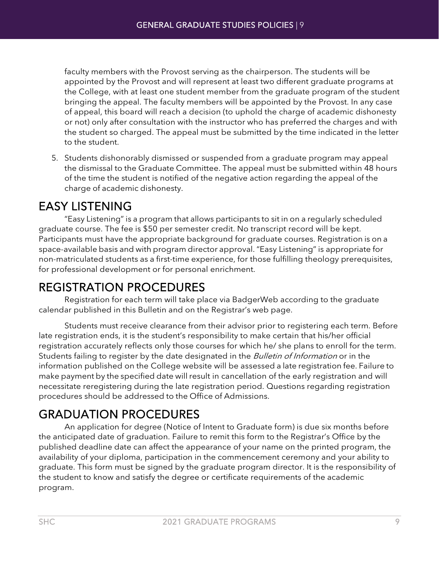faculty members with the Provost serving as the chairperson. The students will be appointed by the Provost and will represent at least two different graduate programs at the College, with at least one student member from the graduate program of the student bringing the appeal. The faculty members will be appointed by the Provost. In any case of appeal, this board will reach a decision (to uphold the charge of academic dishonesty or not) only after consultation with the instructor who has preferred the charges and with the student so charged. The appeal must be submitted by the time indicated in the letter to the student.

5. Students dishonorably dismissed or suspended from a graduate program may appeal the dismissal to the Graduate Committee. The appeal must be submitted within 48 hours of the time the student is notified of the negative action regarding the appeal of the charge of academic dishonesty.

<span id="page-8-0"></span>EASY LISTENING "Easy Listening" is <sup>a</sup> program that allows participants to sit in on <sup>a</sup> regularly scheduled graduate course. The fee is \$50 per semester credit. No transcript record will be kept. Participants must have the appropriate background for graduate courses. Registration is on a space-available basis and with program director approval. "Easy Listening" is appropriate for non-matriculated students as a first-time experience, for those fulfilling theology prerequisites, for professional development or for personal enrichment.

<span id="page-8-1"></span>REGISTRATION PROCEDURES<br>Registration for each term will take place via BadgerWeb according to the graduate calendar published in this Bulletin and on the Registrar's web page.

Students must receive clearance from their advisor prior to registering each term. Before late registration ends, it is the student's responsibility to make certain that his/her official registration accurately reflects only those courses for which he/ she plans to enroll for the term. Students failing to register by the date designated in the *Bulletin of Information* or in the information published on the College website will be assessed a late registration fee. Failure to make payment by the specified date will result in cancellation of the early registration and will necessitate reregistering during the late registration period. Questions regarding registration procedures should be addressed to the Office of Admissions.

<span id="page-8-2"></span>GRADUATION PROCEDURES<br>An application for degree (Notice of Intent to Graduate form) is due six months before the anticipated date of graduation. Failure to remit this form to the Registrar's Office by the published deadline date can affect the appearance of your name on the printed program, the availability of your diploma, participation in the commencement ceremony and your ability to graduate. This form must be signed by the graduate program director. It is the responsibility of the student to know and satisfy the degree or certificate requirements of the academic program.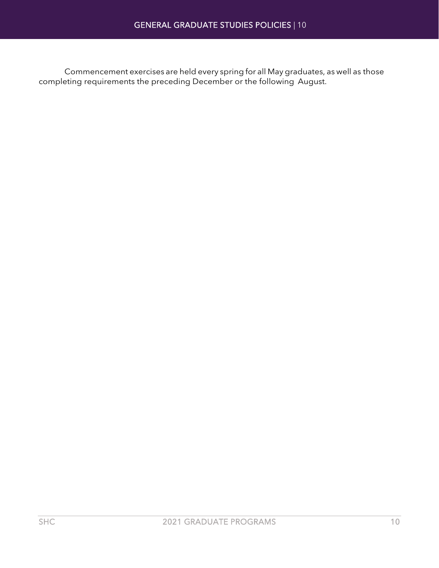Commencement exercises are held every spring for all May graduates, as well as those completing requirements the preceding December or the following August.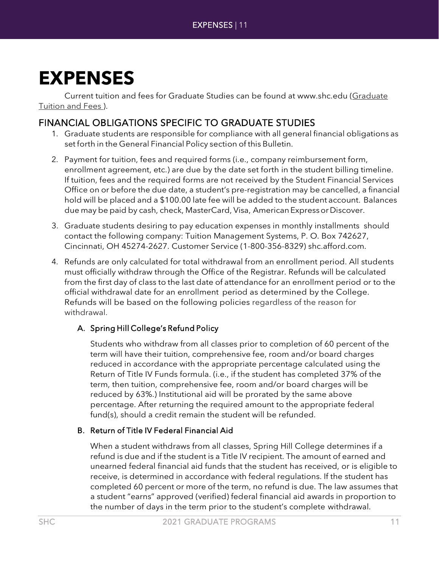## <span id="page-10-0"></span>**EXPENSES**

Current tuition and fees for Graduate Studies can be found at www.shc.edu [\(Graduate](https://www.shc.edu/admissions/tuition-and-aid/graduate-tuition-and-fees/)  [Tuition and Fees \)](https://www.shc.edu/admissions/tuition-and-aid/graduate-tuition-and-fees/).

### FINANCIAL OBLIGATIONS SPECIFIC TO GRADUATE STUDIES

- 1. Graduate students are responsible for compliance with all general financial obligations as set forth in the General Financial Policy section of this Bulletin.
- 2. Payment for tuition, fees and required forms (i.e., company reimbursement form, enrollment agreement, etc.) are due by the date set forth in the student billing timeline. If tuition, fees and the required forms are not received by the Student Financial Services Office on or before the due date, a student's pre-registration may be cancelled, a financial hold will be placed and a \$100.00 late fee will be added to the student account. Balances due may be paid by cash, check, MasterCard, Visa, AmericanExpressorDiscover.
- 3. Graduate students desiring to pay education expenses in monthly installments should contact the following company: Tuition Management Systems, P. O. Box 742627, Cincinnati, OH 45274-2627. Customer Service (1-800-356-8329) [shc.afford.com.](http://shc.afford.com/)
- 4. Refunds are only calculated for total withdrawal from an enrollment period. All students must officially withdraw through the Office of the Registrar. Refunds will be calculated from the first day of class to the last date of attendance for an enrollment period or to the official withdrawal date for an enrollment period as determined by the College. Refunds will be based on the following policies regardless of the reason for withdrawal.

#### A. Spring Hill College's Refund Policy

Students who withdraw from all classes prior to completion of 60 percent of the term will have their tuition, comprehensive fee, room and/or board charges reduced in accordance with the appropriate percentage calculated using the Return of Title IV Funds formula. (i.e., if the student has completed 37% of the term, then tuition, comprehensive fee, room and/or board charges will be reduced by 63%.) Institutional aid will be prorated by the same above percentage. After returning the required amount to the appropriate federal fund(s), should a credit remain the student will be refunded.

#### B. Return of Title IV Federal Financial Aid

When a student withdraws from all classes, Spring Hill College determines if a refund is due and if the student is a Title IV recipient. The amount of earned and unearned federal financial aid funds that the student has received, or is eligible to receive, is determined in accordance with federal regulations. If the student has completed 60 percent or more of the term, no refund is due. The law assumes that a student "earns" approved (verified) federal financial aid awards in proportion to the number of days in the term prior to the student's complete withdrawal.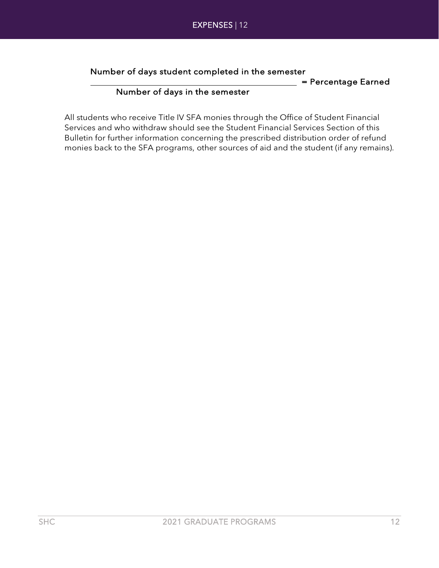

#### Number of days student completed in the semester

 $=$  Percentage Earned

#### Number of days in the semester

All students who receive Title IV SFA monies through the Office of Student Financial Services and who withdraw should see the Student Financial Services Section of this Bulletin for further information concerning the prescribed distribution order of refund monies back to the SFA programs, other sources of aid and the student (if any remains).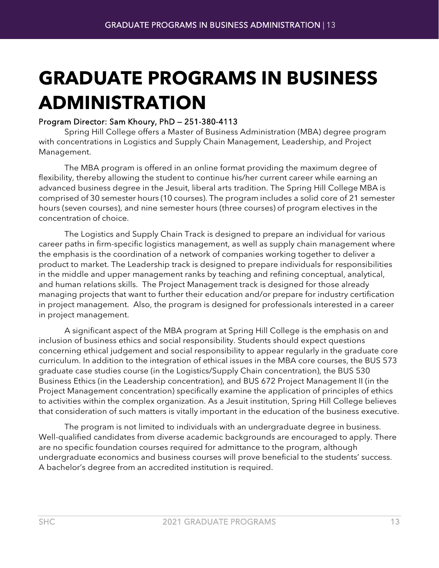# <span id="page-12-0"></span>**GRADUATE PROGRAMS IN BUSINESS ADMINISTRATION**

#### Program Director: Sam Khoury, PhD — 251-380-4113

Spring Hill College offers a Master of Business Administration (MBA) degree program with concentrations in Logistics and Supply Chain Management, Leadership, and Project Management.

The MBA program is offered in an online format providing the maximum degree of flexibility, thereby allowing the student to continue his/her current career while earning an advanced business degree in the Jesuit, liberal arts tradition. The Spring Hill College MBA is comprised of 30 semester hours (10 courses). The program includes a solid core of 21 semester hours (seven courses), and nine semester hours (three courses) of program electives in the concentration of choice.

The Logistics and Supply Chain Track is designed to prepare an individual for various career paths in firm-specific logistics management, as well as supply chain management where the emphasis is the coordination of a network of companies working together to deliver a product to market. The Leadership track is designed to prepare individuals for responsibilities in the middle and upper management ranks by teaching and refining conceptual, analytical, and human relations skills. The Project Management track is designed for those already managing projects that want to further their education and/or prepare for industry certification in project management. Also, the program is designed for professionals interested in a career in project management.

A significant aspect of the MBA program at Spring Hill College is the emphasis on and inclusion of business ethics and social responsibility. Students should expect questions concerning ethical judgement and social responsibility to appear regularly in the graduate core curriculum. In addition to the integration of ethical issues in the MBA core courses, the BUS 573 graduate case studies course (in the Logistics/Supply Chain concentration), the BUS 530 Business Ethics (in the Leadership concentration), and BUS 672 Project Management II (in the Project Management concentration) specifically examine the application of principles of ethics to activities within the complex organization. As a Jesuit institution, Spring Hill College believes that consideration of such matters is vitally important in the education of the business executive.

The program is not limited to individuals with an undergraduate degree in business. Well-qualified candidates from diverse academic backgrounds are encouraged to apply. There are no specific foundation courses required for admittance to the program, although undergraduate economics and business courses will prove beneficial to the students' success. A bachelor's degree from an accredited institution is required.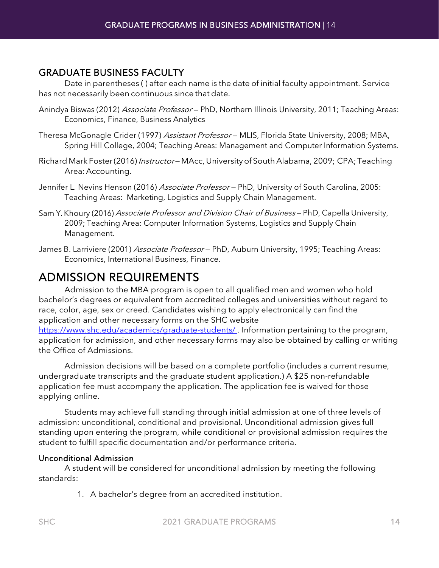#### GRADUATE BUSINESS FACULTY

Date in parentheses ( ) after each name is the date of initial faculty appointment. Service has not necessarily been continuous since that date.

- Anindya Biswas (2012) Associate Professor PhD, Northern Illinois University, 2011; Teaching Areas: Economics, Finance, Business Analytics
- Theresa McGonagle Crider (1997) Assistant Professor MLIS, Florida State University, 2008; MBA, Spring Hill College, 2004; Teaching Areas: Management and Computer Information Systems.
- Richard Mark Foster(2016) Instructor-MAcc, University of South Alabama, 2009; CPA; Teaching Area: Accounting.
- Jennifer L. Nevins Henson (2016) Associate Professor PhD, University of South Carolina, 2005: Teaching Areas: Marketing, Logistics and Supply Chain Management.
- Sam Y. Khoury (2016) Associate Professor and Division Chair of Business PhD, Capella University, 2009; Teaching Area: Computer Information Systems, Logistics and Supply Chain Management.
- James B. Larriviere (2001) Associate Professor PhD, Auburn University, 1995; Teaching Areas: Economics, International Business, Finance.

<span id="page-13-0"></span>ADMISSION REQUIREMENTS<br>Admission to the MBA program is open to all qualified men and women who hold bachelor's degrees or equivalent from accredited colleges and universities without regard to race, color, age, sex or creed. Candidates wishing to apply electronically can find the application and other necessary forms on the SHC website https://www.shc.edu/academics/graduate-students/. Information pertaining to the program, application for admission, and other necessary forms may also be obtained by calling or writing the Office of Admissions.

Admission decisions will be based on a complete portfolio (includes a current resume, undergraduate transcripts and the graduate student application.) A \$25 non-refundable application fee must accompany the application. The application fee is waived for those applying online.

Students may achieve full standing through initial admission at one of three levels of admission: unconditional, conditional and provisional. Unconditional admission gives full standing upon entering the program, while conditional or provisional admission requires the student to fulfill specific documentation and/or performance criteria.

#### Unconditional Admission

A student will be considered for unconditional admission by meeting the following standards:

1. A bachelor's degree from an accredited institution.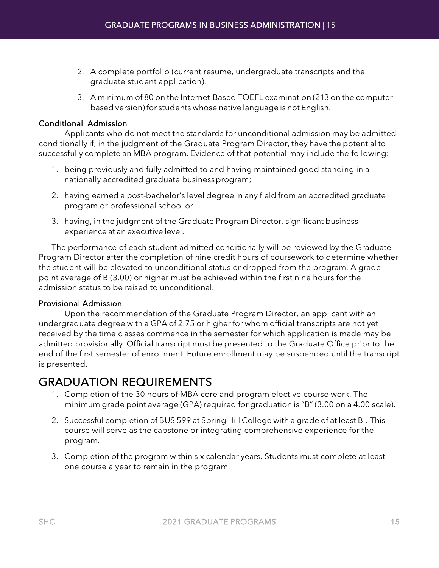- 2. A complete portfolio (current resume, undergraduate transcripts and the graduate student application).
- 3. A minimum of 80 on the Internet-Based TOEFL examination (213 on the computerbased version) for students whose native language is not English.

#### Conditional Admission

Applicants who do not meet the standards for unconditional admission may be admitted conditionally if, in the judgment of the Graduate Program Director, they have the potential to successfully complete an MBA program. Evidence of that potential may include the following:

- 1. being previously and fully admitted to and having maintained good standing in a nationally accredited graduate businessprogram;
- 2. having earned a post-bachelor's level degree in any field from an accredited graduate program or professional school or
- 3. having, in the judgment of the Graduate Program Director, significant business experience at an executive level.

The performance of each student admitted conditionally will be reviewed by the Graduate Program Director after the completion of nine credit hours of coursework to determine whether the student will be elevated to unconditional status or dropped from the program. A grade point average of B (3.00) or higher must be achieved within the first nine hours for the admission status to be raised to unconditional.

#### Provisional Admission

Upon the recommendation of the Graduate Program Director, an applicant with an undergraduate degree with a GPA of 2.75 or higher for whom official transcripts are not yet received by the time classes commence in the semester for which application is made may be admitted provisionally. Official transcript must be presented to the Graduate Office prior to the end of the first semester of enrollment. Future enrollment may be suspended until the transcript is presented.

- <span id="page-14-0"></span>GRADUATION REQUIREMENTS 1. Completion of the 30 hours of MBA core and program elective course work. The minimum grade point average (GPA) required for graduation is "B" (3.00 on a 4.00 scale).
	- 2. Successful completion of BUS 599 at Spring Hill College with a grade of at least B-. This course will serve as the capstone or integrating comprehensive experience for the program.
	- 3. Completion of the program within six calendar years. Students must complete at least one course a year to remain in the program.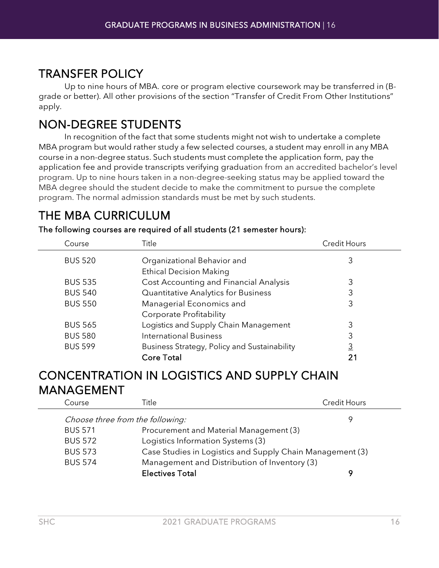<span id="page-15-0"></span>TRANSFER POLICY Up to nine hours of MBA. core or program elective coursework may be transferred in (Bgrade or better). All other provisions of the section "Transfer of Credit From Other Institutions" apply.

<span id="page-15-1"></span>NON-DEGREE STUDENTS<br>In recognition of the fact that some students might not wish to undertake a complete MBA program but would rather study a few selected courses, a student may enroll in any MBA course in a non-degree status. Such students must complete the application form, pay the application fee and provide transcripts verifying graduation from an accredited bachelor's level program. Up to nine hours taken in a non-degree-seeking status may be applied toward the MBA degree should the student decide to make the commitment to pursue the complete program. The normal admission standards must be met by such students.

## <span id="page-15-2"></span>THE MBA CURRICULUM

| The following courses are required of all students (21 semester hours): |  |  |  |
|-------------------------------------------------------------------------|--|--|--|
|-------------------------------------------------------------------------|--|--|--|

| Course         | Title                                        | <b>Credit Hours</b> |
|----------------|----------------------------------------------|---------------------|
| <b>BUS 520</b> | Organizational Behavior and                  | 3                   |
|                | <b>Ethical Decision Making</b>               |                     |
| <b>BUS 535</b> | Cost Accounting and Financial Analysis       | 3                   |
| <b>BUS 540</b> | Quantitative Analytics for Business          | 3                   |
| <b>BUS 550</b> | Managerial Economics and                     | 3                   |
|                | Corporate Profitability                      |                     |
| <b>BUS 565</b> | Logistics and Supply Chain Management        | 3                   |
| <b>BUS 580</b> | <b>International Business</b>                | 3                   |
| <b>BUS 599</b> | Business Strategy, Policy and Sustainability | $\overline{3}$      |
|                | <b>Core Total</b>                            | $2^{\prime}$        |

## <span id="page-15-3"></span>CONCENTRATION IN LOGISTICS AND SUPPLY CHAIN **MANAGEMENT**

| Course                           | Title                                                     | Credit Hours |
|----------------------------------|-----------------------------------------------------------|--------------|
| Choose three from the following: |                                                           |              |
| <b>BUS 571</b>                   | Procurement and Material Management (3)                   |              |
| <b>BUS 572</b>                   | Logistics Information Systems (3)                         |              |
| <b>BUS 573</b>                   | Case Studies in Logistics and Supply Chain Management (3) |              |
| <b>BUS 574</b>                   | Management and Distribution of Inventory (3)              |              |
|                                  | <b>Electives Total</b>                                    | Q            |
|                                  |                                                           |              |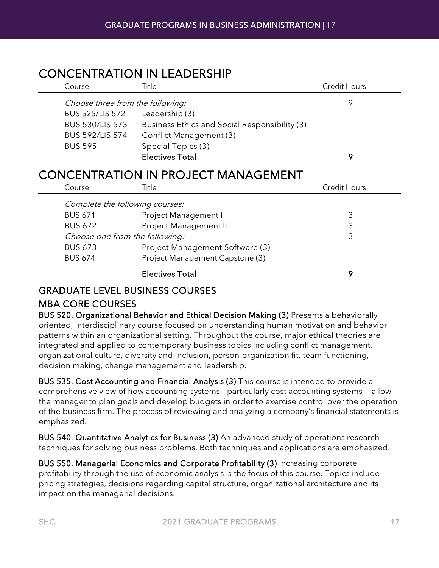### <span id="page-16-0"></span>CONCENTRATION IN LEADERSHIP

<span id="page-16-1"></span>

| Course                           | Title                                         | <b>Credit Hours</b> |
|----------------------------------|-----------------------------------------------|---------------------|
| Choose three from the following: |                                               | 9                   |
| <b>BUS 525/LIS 572</b>           | Leadership (3)                                |                     |
| <b>BUS 530/LIS 573</b>           | Business Ethics and Social Responsibility (3) |                     |
| <b>BUS 592/LIS 574</b>           | Conflict Management (3)                       |                     |
| <b>BUS 595</b>                   | Special Topics (3)                            |                     |
|                                  | <b>Electives Total</b>                        | 9                   |
|                                  | <b>CONCENTRATION IN PROJECT MANAGEMENT</b>    |                     |
| Course                           | Title                                         | <b>Credit Hours</b> |
| Complete the following courses:  |                                               |                     |
| <b>BUS 671</b>                   | Project Management I                          | 3                   |
| <b>BUS 672</b>                   | Project Management II                         | 3                   |
| Choose one from the following:   |                                               | 3                   |
| <b>BUS 673</b>                   | Project Management Software (3)               |                     |
| <b>BUS 674</b>                   | Project Management Capstone (3)               |                     |
|                                  | <b>Electives Total</b>                        | 9                   |

### GRADUATE LEVEL BUSINESS COURSES

#### MBA CORE COURSES

BUS 520. Organizational Behavior and Ethical Decision Making (3) Presents a behaviorally oriented, interdisciplinary course focused on understanding human motivation and behavior patterns within an organizational setting. Throughout the course, major ethical theories are integrated and applied to contemporary business topics including conflict management, organizational culture, diversity and inclusion, person-organization fit, team functioning, decision making, change management and leadership.

BUS 535. Cost Accounting and Financial Analysis (3) This course is intended to provide a comprehensive view of how accounting systems —particularly cost accounting systems — allow the manager to plan goals and develop budgets in order to exercise control over the operation of the business firm. The process of reviewing and analyzing a company's financial statements is emphasized.

BUS 540. Quantitative Analytics for Business (3) An advanced study of operations research techniques for solving business problems. Both techniques and applications are emphasized.

BUS 550. Managerial Economics and Corporate Profitability (3) Increasing corporate profitability through the use of economic analysis is the focus of this course. Topics include pricing strategies, decisions regarding capital structure, organizational architecture and its impact on the managerial decisions.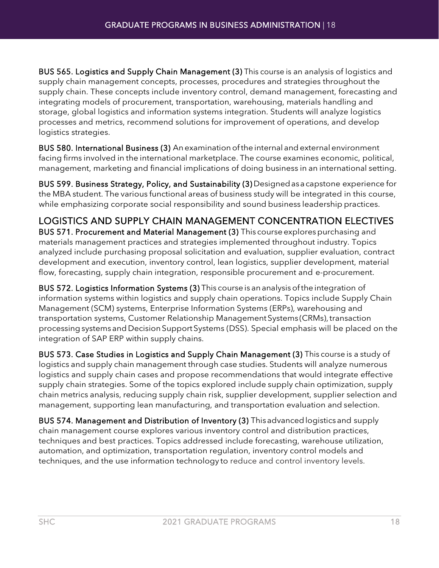BUS 565. Logistics and Supply Chain Management (3) This course is an analysis of logistics and supply chain management concepts, processes, procedures and strategies throughout the supply chain. These concepts include inventory control, demand management, forecasting and integrating models of procurement, transportation, warehousing, materials handling and storage, global logistics and information systems integration. Students will analyze logistics processes and metrics, recommend solutions for improvement of operations, and develop logistics strategies.

BUS 580. International Business (3) An examination of the internal and external environment facing firms involved in the international marketplace. The course examines economic, political, management, marketing and financial implications of doing business in an international setting.

BUS 599. Business Strategy, Policy, and Sustainability (3) Designedasacapstone experience for the MBA student. The various functional areas of business study will be integrated in this course, while emphasizing corporate social responsibility and sound business leadership practices.

LOGISTICS AND SUPPLY CHAIN MANAGEMENT CONCENTRATION ELECTIVES BUS 571. Procurement and Material Management (3) This course explores purchasing and materials management practices and strategies implemented throughout industry. Topics analyzed include purchasing proposal solicitation and evaluation, supplier evaluation, contract development and execution, inventory control, lean logistics, supplier development, material flow, forecasting, supply chain integration, responsible procurement and e-procurement.

BUS 572. Logistics Information Systems (3) This courseis ananalysisoftheintegration of information systems within logistics and supply chain operations. Topics include Supply Chain Management (SCM) systems, Enterprise Information Systems (ERPs), warehousing and transportation systems, Customer Relationship Management Systems (CRMs), transaction processingsystemsandDecisionSupportSystems (DSS). Special emphasis will be placed on the integration of SAP ERP within supply chains.

BUS 573. Case Studies in Logistics and Supply Chain Management (3) This course is a study of logistics and supply chain management through case studies. Students will analyze numerous logistics and supply chain cases and propose recommendations that would integrate effective supply chain strategies. Some of the topics explored include supply chain optimization, supply chain metrics analysis, reducing supply chain risk, supplier development, supplier selection and management, supporting lean manufacturing, and transportation evaluation and selection.

BUS 574. Management and Distribution of Inventory (3) Thisadvancedlogisticsand supply chain management course explores various inventory control and distribution practices, techniques and best practices. Topics addressed include forecasting, warehouse utilization, automation, and optimization, transportation regulation, inventory control models and techniques, and the use information technology to reduce and control inventory levels.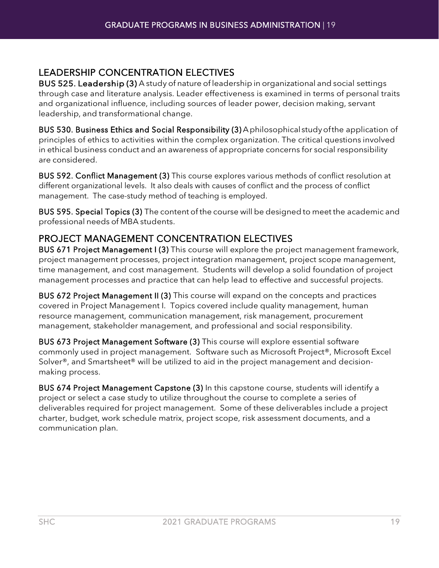#### LEADERSHIP CONCENTRATION ELECTIVES

BUS 525. Leadership (3) A study of nature of leadership in organizational and social settings through case and literature analysis. Leader effectiveness is examined in terms of personal traits and organizational influence, including sources of leader power, decision making, servant leadership, and transformational change.

BUS 530. Business Ethics and Social Responsibility (3) Aphilosophical studyofthe application of principles of ethics to activities within the complex organization. The critical questions involved in ethical business conduct and an awareness of appropriate concerns for social responsibility are considered.

BUS 592. Conflict Management (3) This course explores various methods of conflict resolution at different organizational levels. It also deals with causes of conflict and the process of conflict management. The case-study method of teaching is employed.

BUS 595. Special Topics (3) The content of the course will be designed to meet the academic and professional needs of MBA students.

#### PROJECT MANAGEMENT CONCENTRATION ELECTIVES

BUS 671 Project Management I (3) This course will explore the project management framework, project management processes, project integration management, project scope management, time management, and cost management. Students will develop a solid foundation of project management processes and practice that can help lead to effective and successful projects.

BUS 672 Project Management II (3) This course will expand on the concepts and practices covered in Project Management I. Topics covered include quality management, human resource management, communication management, risk management, procurement management, stakeholder management, and professional and social responsibility.

BUS 673 Project Management Software (3) This course will explore essential software commonly used in project management. Software such as Microsoft Project®, Microsoft Excel Solver®, and Smartsheet® will be utilized to aid in the project management and decisionmaking process.

BUS 674 Project Management Capstone (3) In this capstone course, students will identify a project or select a case study to utilize throughout the course to complete a series of deliverables required for project management. Some of these deliverables include a project charter, budget, work schedule matrix, project scope, risk assessment documents, and a communication plan.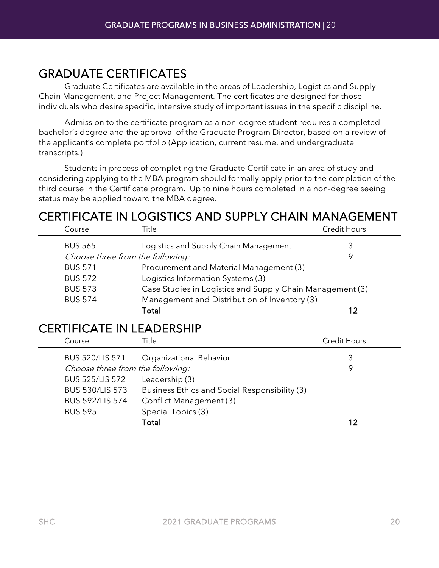<span id="page-19-0"></span>GRADUATE CERTIFICATES Graduate Certificates are available in the areas of Leadership, Logistics and Supply Chain Management, and Project Management. The certificates are designed for those individuals who desire specific, intensive study of important issues in the specific discipline.

Admission to the certificate program as a non-degree student requires a completed bachelor's degree and the approval of the Graduate Program Director, based on a review of the applicant's complete portfolio (Application, current resume, and undergraduate transcripts.)

Students in process of completing the Graduate Certificate in an area of study and considering applying to the MBA program should formally apply prior to the completion of the third course in the Certificate program. Up to nine hours completed in a non-degree seeing status may be applied toward the MBA degree.

### <span id="page-19-1"></span>CERTIFICATE IN LOGISTICS AND SUPPLY CHAIN MANAGEMENT

<span id="page-19-2"></span>

| Course                           | Title                                                     | Credit Hours        |
|----------------------------------|-----------------------------------------------------------|---------------------|
| <b>BUS 565</b>                   | Logistics and Supply Chain Management                     | 3                   |
| Choose three from the following: |                                                           | 9                   |
| <b>BUS 571</b>                   | Procurement and Material Management (3)                   |                     |
| <b>BUS 572</b>                   | Logistics Information Systems (3)                         |                     |
| <b>BUS 573</b>                   | Case Studies in Logistics and Supply Chain Management (3) |                     |
| <b>BUS 574</b>                   | Management and Distribution of Inventory (3)              |                     |
|                                  | Total                                                     | 12                  |
| <b>CERTIFICATE IN LEADERSHIP</b> |                                                           |                     |
| Course                           | Title                                                     | <b>Credit Hours</b> |
| BUS 520/LIS 571                  | Organizational Behavior                                   | 3                   |
| Choose three from the following: |                                                           | 9                   |
| <b>BUS 525/LIS 572</b>           | Leadership (3)                                            |                     |
| <b>BUS 530/LIS 573</b>           | Business Ethics and Social Responsibility (3)             |                     |
| <b>BUS 592/LIS 574</b>           | Conflict Management (3)                                   |                     |
| <b>BUS 595</b>                   | Special Topics (3)                                        |                     |
|                                  | Total                                                     | 12                  |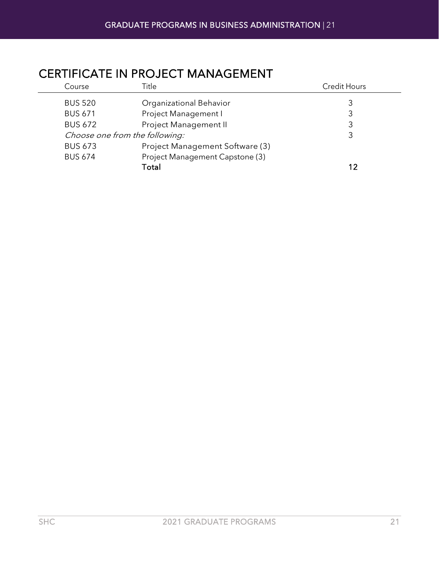## <span id="page-20-0"></span>CERTIFICATE IN PROJECT MANAGEMENT

| Course                         | Title                           | <b>Credit Hours</b> |
|--------------------------------|---------------------------------|---------------------|
| <b>BUS 520</b>                 | Organizational Behavior         | 3                   |
| <b>BUS 671</b>                 | Project Management I            | 3                   |
| <b>BUS 672</b>                 | Project Management II           | 3                   |
| Choose one from the following: |                                 | 3                   |
| <b>BUS 673</b>                 | Project Management Software (3) |                     |
| <b>BUS 674</b>                 | Project Management Capstone (3) |                     |
|                                | Total                           | 12                  |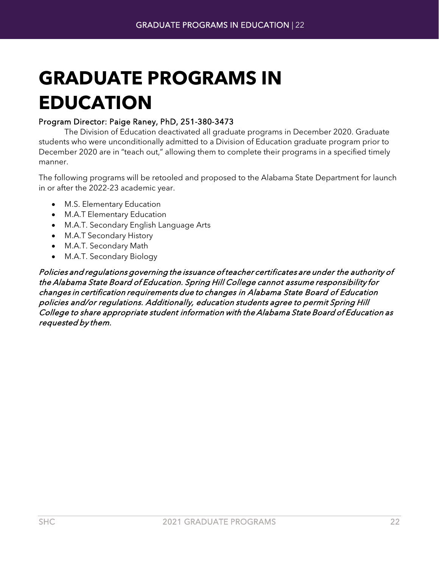# <span id="page-21-0"></span>**GRADUATE PROGRAMS IN EDUCATION**

#### Program Director: Paige Raney, PhD, 251-380-3473

The Division of Education deactivated all graduate programs in December 2020. Graduate students who were unconditionally admitted to a Division of Education graduate program prior to December 2020 are in "teach out," allowing them to complete their programs in a specified timely manner.

The following programs will be retooled and proposed to the Alabama State Department for launch in or after the 2022-23 academic year.

- M.S. Elementary Education
- M.A.T Elementary Education
- M.A.T. Secondary English Language Arts
- M.A.T Secondary History
- M.A.T. Secondary Math
- M.A.T. Secondary Biology

Policies and regulations governing the issuance of teacher certificates are under the authority of the Alabama State Board of Education. Spring Hill College cannot assume responsibility for changes in certification requirements due to changes in Alabama State Board of Education policies and/or regulations. Additionally, education students agree to permit Spring Hill College to share appropriate student information with the Alabama State Board of Education as requested by them.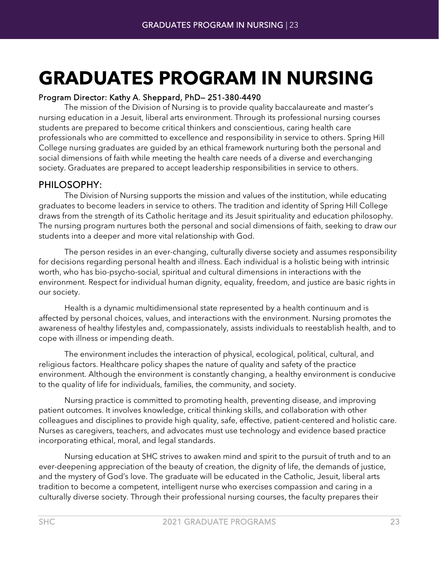# <span id="page-22-0"></span>**GRADUATES PROGRAM IN NURSING**

#### Program Director: Kathy A. Sheppard, PhD— 251-380-4490

The mission of the Division of Nursing is to provide quality baccalaureate and master's nursing education in a Jesuit, liberal arts environment. Through its professional nursing courses students are prepared to become critical thinkers and conscientious, caring health care professionals who are committed to excellence and responsibility in service to others. Spring Hill College nursing graduates are guided by an ethical framework nurturing both the personal and social dimensions of faith while meeting the health care needs of a diverse and everchanging society. Graduates are prepared to accept leadership responsibilities in service to others.

#### PHILOSOPHY:

The Division of Nursing supports the mission and values of the institution, while educating graduates to become leaders in service to others. The tradition and identity of Spring Hill College draws from the strength of its Catholic heritage and its Jesuit spirituality and education philosophy. The nursing program nurtures both the personal and social dimensions of faith, seeking to draw our students into a deeper and more vital relationship with God.

The person resides in an ever-changing, culturally diverse society and assumes responsibility for decisions regarding personal health and illness. Each individual is a holistic being with intrinsic worth, who has bio-psycho-social, spiritual and cultural dimensions in interactions with the environment. Respect for individual human dignity, equality, freedom, and justice are basic rights in our society.

Health is a dynamic multidimensional state represented by a health continuum and is affected by personal choices, values, and interactions with the environment. Nursing promotes the awareness of healthy lifestyles and, compassionately, assists individuals to reestablish health, and to cope with illness or impending death.

The environment includes the interaction of physical, ecological, political, cultural, and religious factors. Healthcare policy shapes the nature of quality and safety of the practice environment. Although the environment is constantly changing, a healthy environment is conducive to the quality of life for individuals, families, the community, and society.

Nursing practice is committed to promoting health, preventing disease, and improving patient outcomes. It involves knowledge, critical thinking skills, and collaboration with other colleagues and disciplines to provide high quality, safe, effective, patient-centered and holistic care. Nurses as caregivers, teachers, and advocates must use technology and evidence based practice incorporating ethical, moral, and legal standards.

Nursing education at SHC strives to awaken mind and spirit to the pursuit of truth and to an ever-deepening appreciation of the beauty of creation, the dignity of life, the demands of justice, and the mystery of God's love. The graduate will be educated in the Catholic, Jesuit, liberal arts tradition to become a competent, intelligent nurse who exercises compassion and caring in a culturally diverse society. Through their professional nursing courses, the faculty prepares their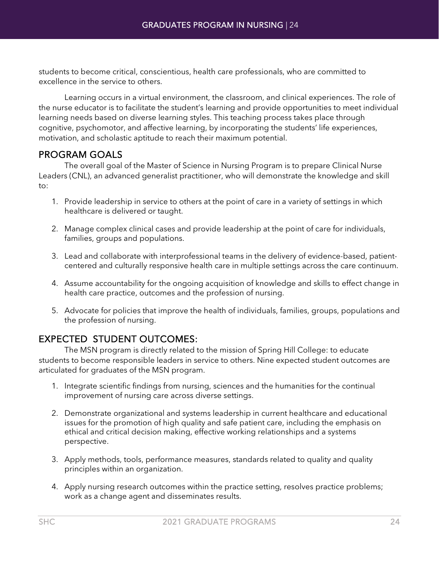students to become critical, conscientious, health care professionals, who are committed to excellence in the service to others.

Learning occurs in a virtual environment, the classroom, and clinical experiences. The role of the nurse educator is to facilitate the student's learning and provide opportunities to meet individual learning needs based on diverse learning styles. This teaching process takes place through cognitive, psychomotor, and affective learning, by incorporating the students' life experiences, motivation, and scholastic aptitude to reach their maximum potential.

#### PROGRAM GOALS

The overall goal of the Master of Science in Nursing Program is to prepare Clinical Nurse Leaders (CNL), an advanced generalist practitioner, who will demonstrate the knowledge and skill to:

- 1. Provide leadership in service to others at the point of care in a variety of settings in which healthcare is delivered or taught.
- 2. Manage complex clinical cases and provide leadership at the point of care for individuals, families, groups and populations.
- 3. Lead and collaborate with interprofessional teams in the delivery of evidence-based, patientcentered and culturally responsive health care in multiple settings across the care continuum.
- 4. Assume accountability for the ongoing acquisition of knowledge and skills to effect change in health care practice, outcomes and the profession of nursing.
- 5. Advocate for policies that improve the health of individuals, families, groups, populations and the profession of nursing.

### EXPECTED STUDENT OUTCOMES:

The MSN program is directly related to the mission of Spring Hill College: to educate students to become responsible leaders in service to others. Nine expected student outcomes are articulated for graduates of the MSN program.

- 1. Integrate scientific findings from nursing, sciences and the humanities for the continual improvement of nursing care across diverse settings.
- 2. Demonstrate organizational and systems leadership in current healthcare and educational issues for the promotion of high quality and safe patient care, including the emphasis on ethical and critical decision making, effective working relationships and a systems perspective.
- 3. Apply methods, tools, performance measures, standards related to quality and quality principles within an organization.
- 4. Apply nursing research outcomes within the practice setting, resolves practice problems; work as a change agent and disseminates results.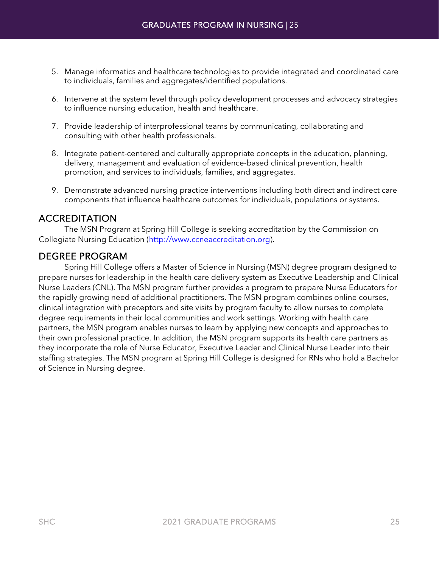- 5. Manage informatics and healthcare technologies to provide integrated and coordinated care to individuals, families and aggregates/identified populations.
- 6. Intervene at the system level through policy development processes and advocacy strategies to influence nursing education, health and healthcare.
- 7. Provide leadership of interprofessional teams by communicating, collaborating and consulting with other health professionals.
- 8. Integrate patient-centered and culturally appropriate concepts in the education, planning, delivery, management and evaluation of evidence-based clinical prevention, health promotion, and services to individuals, families, and aggregates.
- 9. Demonstrate advanced nursing practice interventions including both direct and indirect care components that influence healthcare outcomes for individuals, populations or systems.

#### **ACCREDITATION**

The MSN Program at Spring Hill College is seeking accreditation by the Commission on Collegiate Nursing Education [\(http://www.ccneaccreditation.org\)](http://www.ccneaccreditation.org/).

#### DEGREE PROGRAM

Spring Hill College offers a Master of Science in Nursing (MSN) degree program designed to prepare nurses for leadership in the health care delivery system as Executive Leadership and Clinical Nurse Leaders (CNL). The MSN program further provides a program to prepare Nurse Educators for the rapidly growing need of additional practitioners. The MSN program combines online courses, clinical integration with preceptors and site visits by program faculty to allow nurses to complete degree requirements in their local communities and work settings. Working with health care partners, the MSN program enables nurses to learn by applying new concepts and approaches to their own professional practice. In addition, the MSN program supports its health care partners as they incorporate the role of Nurse Educator, Executive Leader and Clinical Nurse Leader into their staffing strategies. The MSN program at Spring Hill College is designed for RNs who hold a Bachelor of Science in Nursing degree.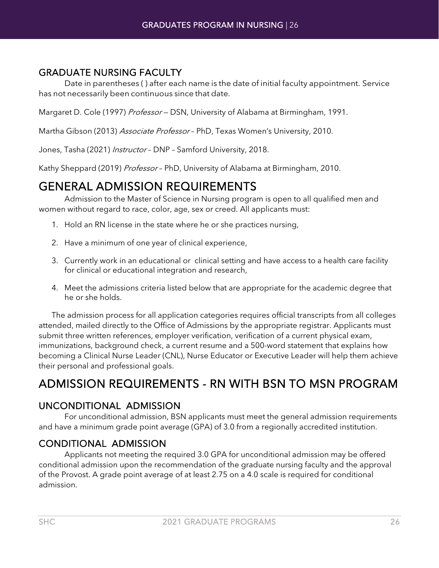#### GRADUATE NURSING FACULTY

Date in parentheses ( ) after each name is the date of initial faculty appointment. Service has not necessarily been continuous since that date.

Margaret D. Cole (1997) Professor - DSN, University of Alabama at Birmingham, 1991.

Martha Gibson (2013) Associate Professor - PhD, Texas Women's University, 2010.

Jones, Tasha (2021) Instructor - DNP - Samford University, 2018.

Kathy Sheppard (2019) Professor - PhD, University of Alabama at Birmingham, 2010.

<span id="page-25-0"></span>GENERAL ADMISSION REQUIREMENTS<br>Admission to the Master of Science in Nursing program is open to all qualified men and women without regard to race, color, age, sex or creed. All applicants must:

- 1. Hold an RN license in the state where he or she practices nursing,
- 2. Have a minimum of one year of clinical experience,
- 3. Currently work in an educational or clinical setting and have access to a health care facility for clinical or educational integration and research,
- 4. Meet the admissions criteria listed below that are appropriate for the academic degree that he or she holds.

The admission process for all application categories requires official transcripts from all colleges attended, mailed directly to the Office of Admissions by the appropriate registrar. Applicants must submit three written references, employer verification, verification of a current physical exam, immunizations, background check, a current resume and a 500-word statement that explains how becoming a Clinical Nurse Leader (CNL), Nurse Educator or Executive Leader will help them achieve their personal and professional goals.

## <span id="page-25-1"></span>ADMISSION REQUIREMENTS - RN WITH BSN TO MSN PROGRAM

### UNCONDITIONAL ADMISSION

For unconditional admission, BSN applicants must meet the general admission requirements and have a minimum grade point average (GPA) of 3.0 from a regionally accredited institution.

### CONDITIONAL ADMISSION

Applicants not meeting the required 3.0 GPA for unconditional admission may be offered conditional admission upon the recommendation of the graduate nursing faculty and the approval of the Provost. A grade point average of at least 2.75 on a 4.0 scale is required for conditional admission.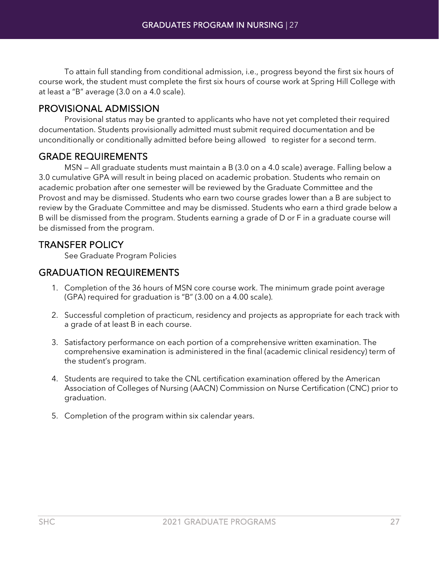To attain full standing from conditional admission, i.e., progress beyond the first six hours of course work, the student must complete the first six hours of course work at Spring Hill College with at least a "B" average (3.0 on a 4.0 scale).

#### PROVISIONAL ADMISSION

Provisional status may be granted to applicants who have not yet completed their required documentation. Students provisionally admitted must submit required documentation and be unconditionally or conditionally admitted before being allowed to register for a second term.

#### GRADE REQUIREMENTS

MSN — All graduate students must maintain a B (3.0 on a 4.0 scale) average. Falling below a 3.0 cumulative GPA will result in being placed on academic probation. Students who remain on academic probation after one semester will be reviewed by the Graduate Committee and the Provost and may be dismissed. Students who earn two course grades lower than a B are subject to review by the Graduate Committee and may be dismissed. Students who earn a third grade below a B will be dismissed from the program. Students earning a grade of D or F in a graduate course will be dismissed from the program.

#### TRANSFER POLICY

See Graduate Program Policies

#### GRADUATION REQUIREMENTS

- 1. Completion of the 36 hours of MSN core course work. The minimum grade point average (GPA) required for graduation is "B" (3.00 on a 4.00 scale).
- 2. Successful completion of practicum, residency and projects as appropriate for each track with a grade of at least B in each course.
- 3. Satisfactory performance on each portion of a comprehensive written examination. The comprehensive examination is administered in the final (academic clinical residency) term of the student's program.
- 4. Students are required to take the CNL certification examination offered by the American Association of Colleges of Nursing (AACN) Commission on Nurse Certification (CNC) prior to graduation.
- 5. Completion of the program within six calendar years.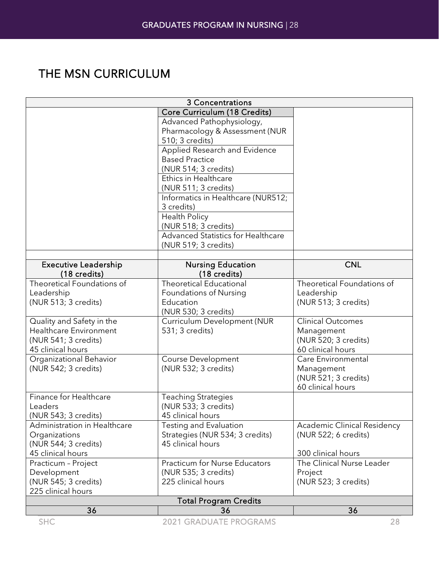## <span id="page-27-0"></span>THE MSN CURRICULUM

|                              | <b>3 Concentrations</b>              |                                    |
|------------------------------|--------------------------------------|------------------------------------|
|                              | Core Curriculum (18 Credits)         |                                    |
|                              | Advanced Pathophysiology,            |                                    |
|                              | Pharmacology & Assessment (NUR       |                                    |
|                              | 510; 3 credits)                      |                                    |
|                              | Applied Research and Evidence        |                                    |
|                              | <b>Based Practice</b>                |                                    |
|                              | (NUR 514; 3 credits)                 |                                    |
|                              | Ethics in Healthcare                 |                                    |
|                              | (NUR 511; 3 credits)                 |                                    |
|                              | Informatics in Healthcare (NUR512;   |                                    |
|                              | 3 credits)                           |                                    |
|                              | Health Policy                        |                                    |
|                              | (NUR 518; 3 credits)                 |                                    |
|                              | Advanced Statistics for Healthcare   |                                    |
|                              | (NUR 519; 3 credits)                 |                                    |
|                              |                                      |                                    |
| <b>Executive Leadership</b>  | <b>Nursing Education</b>             | <b>CNL</b>                         |
| (18 credits)                 | (18 credits)                         |                                    |
| Theoretical Foundations of   | <b>Theoretical Educational</b>       | Theoretical Foundations of         |
| Leadership                   | <b>Foundations of Nursing</b>        | Leadership                         |
| (NUR 513; 3 credits)         | Education                            | (NUR 513; 3 credits)               |
|                              | (NUR 530; 3 credits)                 |                                    |
| Quality and Safety in the    | <b>Curriculum Development (NUR</b>   | <b>Clinical Outcomes</b>           |
| Healthcare Environment       | 531; 3 credits)                      | Management                         |
| (NUR 541; 3 credits)         |                                      | (NUR 520; 3 credits)               |
| 45 clinical hours            |                                      | 60 clinical hours                  |
| Organizational Behavior      | <b>Course Development</b>            | Care Environmental                 |
| (NUR 542; 3 credits)         | (NUR 532; 3 credits)                 | Management                         |
|                              |                                      | (NUR 521; 3 credits)               |
|                              |                                      | 60 clinical hours                  |
| Finance for Healthcare       | <b>Teaching Strategies</b>           |                                    |
| Leaders                      | (NUR 533; 3 credits)                 |                                    |
| (NUR 543; 3 credits)         | 45 clinical hours                    |                                    |
| Administration in Healthcare | Testing and Evaluation               | <b>Academic Clinical Residency</b> |
| Organizations                | Strategies (NUR 534; 3 credits)      | (NUR 522; 6 credits)               |
| (NUR 544; 3 credits)         | 45 clinical hours                    |                                    |
| 45 clinical hours            |                                      | 300 clinical hours                 |
| Practicum - Project          | <b>Practicum for Nurse Educators</b> | The Clinical Nurse Leader          |
| Development                  | (NUR 535; 3 credits)                 | Project                            |
| (NUR 545; 3 credits)         | 225 clinical hours                   | (NUR 523; 3 credits)               |
| 225 clinical hours           |                                      |                                    |
| <b>Total Program Credits</b> |                                      |                                    |
| 36                           | 36                                   | 36                                 |
| <b>SHC</b>                   | <b>2021 GRADUATE PROGRAMS</b>        | 28                                 |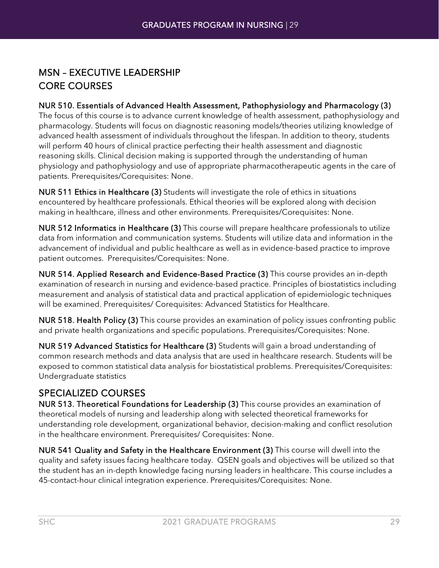### MSN – EXECUTIVE LEADERSHIP CORE COURSES

#### NUR 510. Essentials of Advanced Health Assessment, Pathophysiology and Pharmacology (3)

The focus of this course is to advance current knowledge of health assessment, pathophysiology and pharmacology. Students will focus on diagnostic reasoning models/theories utilizing knowledge of advanced health assessment of individuals throughout the lifespan. In addition to theory, students will perform 40 hours of clinical practice perfecting their health assessment and diagnostic reasoning skills. Clinical decision making is supported through the understanding of human physiology and pathophysiology and use of appropriate pharmacotherapeutic agents in the care of patients. Prerequisites/Corequisites: None.

NUR 511 Ethics in Healthcare (3) Students will investigate the role of ethics in situations encountered by healthcare professionals. Ethical theories will be explored along with decision making in healthcare, illness and other environments. Prerequisites/Corequisites: None.

NUR 512 Informatics in Healthcare (3) This course will prepare healthcare professionals to utilize data from information and communication systems. Students will utilize data and information in the advancement of individual and public healthcare as well as in evidence-based practice to improve patient outcomes. Prerequisites/Corequisites: None.

NUR 514. Applied Research and Evidence-Based Practice (3) This course provides an in-depth examination of research in nursing and evidence-based practice. Principles of biostatistics including measurement and analysis of statistical data and practical application of epidemiologic techniques will be examined. Prerequisites/ Corequisites: Advanced Statistics for Healthcare.

NUR 518. Health Policy (3) This course provides an examination of policy issues confronting public and private health organizations and specific populations. Prerequisites/Corequisites: None.

NUR 519 Advanced Statistics for Healthcare (3) Students will gain a broad understanding of common research methods and data analysis that are used in healthcare research. Students will be exposed to common statistical data analysis for biostatistical problems. Prerequisites/Corequisites: Undergraduate statistics

### SPECIALIZED COURSES

NUR 513. Theoretical Foundations for Leadership (3) This course provides an examination of theoretical models of nursing and leadership along with selected theoretical frameworks for understanding role development, organizational behavior, decision-making and conflict resolution in the healthcare environment. Prerequisites/ Corequisites: None.

NUR 541 Quality and Safety in the Healthcare Environment (3) This course will dwell into the quality and safety issues facing healthcare today. QSEN goals and objectives will be utilized so that the student has an in-depth knowledge facing nursing leaders in healthcare. This course includes a 45-contact-hour clinical integration experience. Prerequisites/Corequisites: None.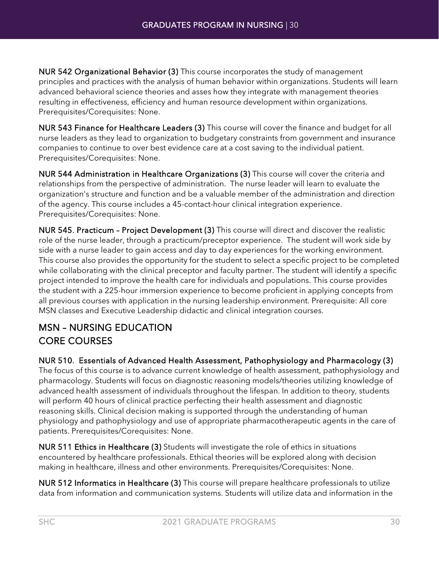NUR 542 Organizational Behavior (3) This course incorporates the study of management principles and practices with the analysis of human behavior within organizations. Students will learn advanced behavioral science theories and asses how they integrate with management theories resulting in effectiveness, efficiency and human resource development within organizations. Prerequisites/Corequisites: None.

NUR 543 Finance for Healthcare Leaders (3) This course will cover the finance and budget for all nurse leaders as they lead to organization to budgetary constraints from government and insurance companies to continue to over best evidence care at a cost saving to the individual patient. Prerequisites/Corequisites: None.

NUR 544 Administration in Healthcare Organizations (3) This course will cover the criteria and relationships from the perspective of administration. The nurse leader will learn to evaluate the organization's structure and function and be a valuable member of the administration and direction of the agency. This course includes a 45-contact-hour clinical integration experience. Prerequisites/Corequisites: None.

NUR 545. Practicum – Project Development (3) This course will direct and discover the realistic role of the nurse leader, through a practicum/preceptor experience. The student will work side by side with a nurse leader to gain access and day to day experiences for the working environment. This course also provides the opportunity for the student to select a specific project to be completed while collaborating with the clinical preceptor and faculty partner. The student will identify a specific project intended to improve the health care for individuals and populations. This course provides the student with a 225-hour immersion experience to become proficient in applying concepts from all previous courses with application in the nursing leadership environment. Prerequisite: All core MSN classes and Executive Leadership didactic and clinical integration courses.

### MSN – NURSING EDUCATION CORE COURSES

#### NUR 510. Essentials of Advanced Health Assessment, Pathophysiology and Pharmacology (3)

The focus of this course is to advance current knowledge of health assessment, pathophysiology and pharmacology. Students will focus on diagnostic reasoning models/theories utilizing knowledge of advanced health assessment of individuals throughout the lifespan. In addition to theory, students will perform 40 hours of clinical practice perfecting their health assessment and diagnostic reasoning skills. Clinical decision making is supported through the understanding of human physiology and pathophysiology and use of appropriate pharmacotherapeutic agents in the care of patients. Prerequisites/Corequisites: None.

NUR 511 Ethics in Healthcare (3) Students will investigate the role of ethics in situations encountered by healthcare professionals. Ethical theories will be explored along with decision making in healthcare, illness and other environments. Prerequisites/Corequisites: None.

NUR 512 Informatics in Healthcare (3) This course will prepare healthcare professionals to utilize data from information and communication systems. Students will utilize data and information in the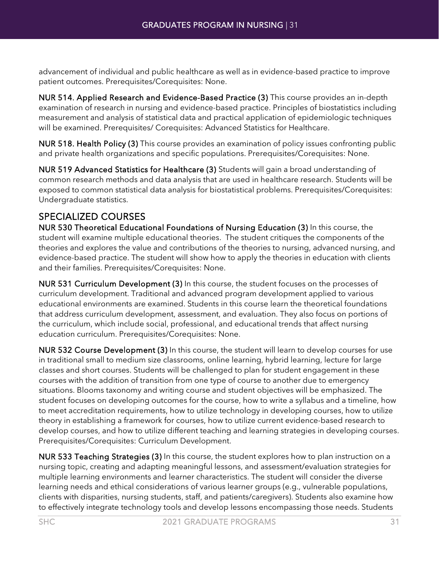advancement of individual and public healthcare as well as in evidence-based practice to improve patient outcomes. Prerequisites/Corequisites: None.

NUR 514. Applied Research and Evidence-Based Practice (3) This course provides an in-depth examination of research in nursing and evidence-based practice. Principles of biostatistics including measurement and analysis of statistical data and practical application of epidemiologic techniques will be examined. Prerequisites/ Corequisites: Advanced Statistics for Healthcare.

NUR 518. Health Policy (3) This course provides an examination of policy issues confronting public and private health organizations and specific populations. Prerequisites/Corequisites: None.

NUR 519 Advanced Statistics for Healthcare (3) Students will gain a broad understanding of common research methods and data analysis that are used in healthcare research. Students will be exposed to common statistical data analysis for biostatistical problems. Prerequisites/Corequisites: Undergraduate statistics.

### SPECIALIZED COURSES

NUR 530 Theoretical Educational Foundations of Nursing Education (3) In this course, the student will examine multiple educational theories. The student critiques the components of the theories and explores the value and contributions of the theories to nursing, advanced nursing, and evidence-based practice. The student will show how to apply the theories in education with clients and their families. Prerequisites/Corequisites: None.

NUR 531 Curriculum Development (3) In this course, the student focuses on the processes of curriculum development. Traditional and advanced program development applied to various educational environments are examined. Students in this course learn the theoretical foundations that address curriculum development, assessment, and evaluation. They also focus on portions of the curriculum, which include social, professional, and educational trends that affect nursing education curriculum. Prerequisites/Corequisites: None.

NUR 532 Course Development (3) In this course, the student will learn to develop courses for use in traditional small to medium size classrooms, online learning, hybrid learning, lecture for large classes and short courses. Students will be challenged to plan for student engagement in these courses with the addition of transition from one type of course to another due to emergency situations. Blooms taxonomy and writing course and student objectives will be emphasized. The student focuses on developing outcomes for the course, how to write a syllabus and a timeline, how to meet accreditation requirements, how to utilize technology in developing courses, how to utilize theory in establishing a framework for courses, how to utilize current evidence-based research to develop courses, and how to utilize different teaching and learning strategies in developing courses. Prerequisites/Corequisites: Curriculum Development.

NUR 533 Teaching Strategies (3) In this course, the student explores how to plan instruction on a nursing topic, creating and adapting meaningful lessons, and assessment/evaluation strategies for multiple learning environments and learner characteristics. The student will consider the diverse learning needs and ethical considerations of various learner groups (e.g., vulnerable populations, clients with disparities, nursing students, staff, and patients/caregivers). Students also examine how to effectively integrate technology tools and develop lessons encompassing those needs. Students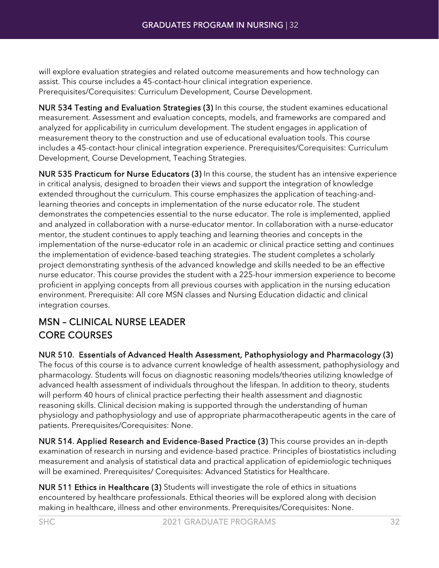will explore evaluation strategies and related outcome measurements and how technology can assist. This course includes a 45-contact-hour clinical integration experience. Prerequisites/Corequisites: Curriculum Development, Course Development.

NUR 534 Testing and Evaluation Strategies (3) In this course, the student examines educational measurement. Assessment and evaluation concepts, models, and frameworks are compared and analyzed for applicability in curriculum development. The student engages in application of measurement theory to the construction and use of educational evaluation tools. This course includes a 45-contact-hour clinical integration experience. Prerequisites/Corequisites: Curriculum Development, Course Development, Teaching Strategies.

NUR 535 Practicum for Nurse Educators (3) In this course, the student has an intensive experience in critical analysis, designed to broaden their views and support the integration of knowledge extended throughout the curriculum. This course emphasizes the application of teaching-andlearning theories and concepts in implementation of the nurse educator role. The student demonstrates the competencies essential to the nurse educator. The role is implemented, applied and analyzed in collaboration with a nurse-educator mentor. In collaboration with a nurse-educator mentor, the student continues to apply teaching and learning theories and concepts in the implementation of the nurse-educator role in an academic or clinical practice setting and continues the implementation of evidence-based teaching strategies. The student completes a scholarly project demonstrating synthesis of the advanced knowledge and skills needed to be an effective nurse educator. This course provides the student with a 225-hour immersion experience to become proficient in applying concepts from all previous courses with application in the nursing education environment. Prerequisite: All core MSN classes and Nursing Education didactic and clinical integration courses.

### MSN – CLINICAL NURSE LEADER CORE COURSES

NUR 510. Essentials of Advanced Health Assessment, Pathophysiology and Pharmacology (3) The focus of this course is to advance current knowledge of health assessment, pathophysiology and pharmacology. Students will focus on diagnostic reasoning models/theories utilizing knowledge of advanced health assessment of individuals throughout the lifespan. In addition to theory, students will perform 40 hours of clinical practice perfecting their health assessment and diagnostic reasoning skills. Clinical decision making is supported through the understanding of human physiology and pathophysiology and use of appropriate pharmacotherapeutic agents in the care of patients. Prerequisites/Corequisites: None.

NUR 514. Applied Research and Evidence-Based Practice (3) This course provides an in-depth examination of research in nursing and evidence-based practice. Principles of biostatistics including measurement and analysis of statistical data and practical application of epidemiologic techniques will be examined. Prerequisites/ Corequisites: Advanced Statistics for Healthcare.

NUR 511 Ethics in Healthcare (3) Students will investigate the role of ethics in situations encountered by healthcare professionals. Ethical theories will be explored along with decision making in healthcare, illness and other environments. Prerequisites/Corequisites: None.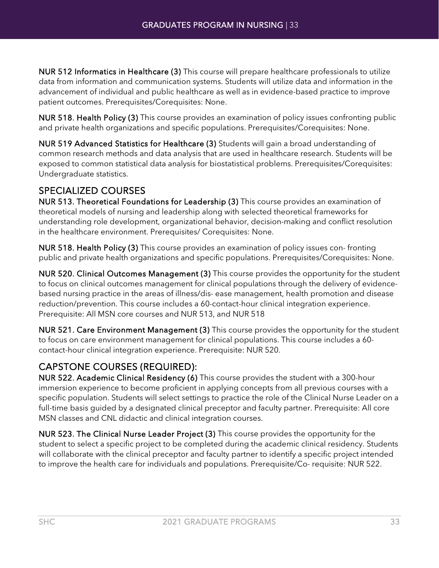NUR 512 Informatics in Healthcare (3) This course will prepare healthcare professionals to utilize data from information and communication systems. Students will utilize data and information in the advancement of individual and public healthcare as well as in evidence-based practice to improve patient outcomes. Prerequisites/Corequisites: None.

NUR 518. Health Policy (3) This course provides an examination of policy issues confronting public and private health organizations and specific populations. Prerequisites/Corequisites: None.

NUR 519 Advanced Statistics for Healthcare (3) Students will gain a broad understanding of common research methods and data analysis that are used in healthcare research. Students will be exposed to common statistical data analysis for biostatistical problems. Prerequisites/Corequisites: Undergraduate statistics.

#### SPECIALIZED COURSES

NUR 513. Theoretical Foundations for Leadership (3) This course provides an examination of theoretical models of nursing and leadership along with selected theoretical frameworks for understanding role development, organizational behavior, decision-making and conflict resolution in the healthcare environment. Prerequisites/ Corequisites: None.

NUR 518. Health Policy (3) This course provides an examination of policy issues con- fronting public and private health organizations and specific populations. Prerequisites/Corequisites: None.

NUR 520. Clinical Outcomes Management (3) This course provides the opportunity for the student to focus on clinical outcomes management for clinical populations through the delivery of evidencebased nursing practice in the areas of illness/dis- ease management, health promotion and disease reduction/prevention. This course includes a 60-contact-hour clinical integration experience. Prerequisite: All MSN core courses and NUR 513, and NUR 518

NUR 521. Care Environment Management (3) This course provides the opportunity for the student to focus on care environment management for clinical populations. This course includes a 60 contact-hour clinical integration experience. Prerequisite: NUR 520.

### CAPSTONE COURSES (REQUIRED):

NUR 522. Academic Clinical Residency (6) This course provides the student with a 300-hour immersion experience to become proficient in applying concepts from all previous courses with a specific population. Students will select settings to practice the role of the Clinical Nurse Leader on a full-time basis guided by a designated clinical preceptor and faculty partner. Prerequisite: All core MSN classes and CNL didactic and clinical integration courses.

NUR 523. The Clinical Nurse Leader Project (3) This course provides the opportunity for the student to select a specific project to be completed during the academic clinical residency. Students will collaborate with the clinical preceptor and faculty partner to identify a specific project intended to improve the health care for individuals and populations. Prerequisite/Co- requisite: NUR 522.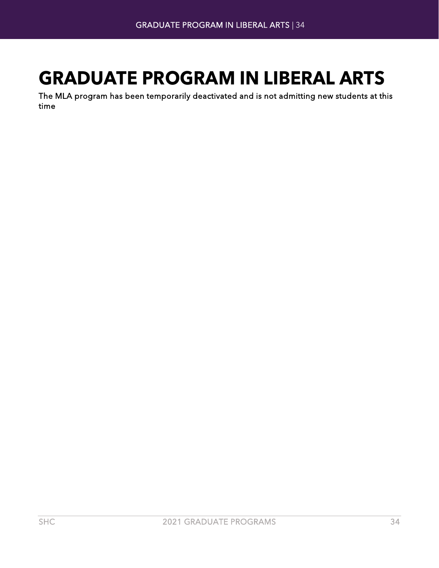## <span id="page-33-0"></span>**GRADUATE PROGRAM IN LIBERAL ARTS**

The MLA program has been temporarily deactivated and is not admitting new students at this time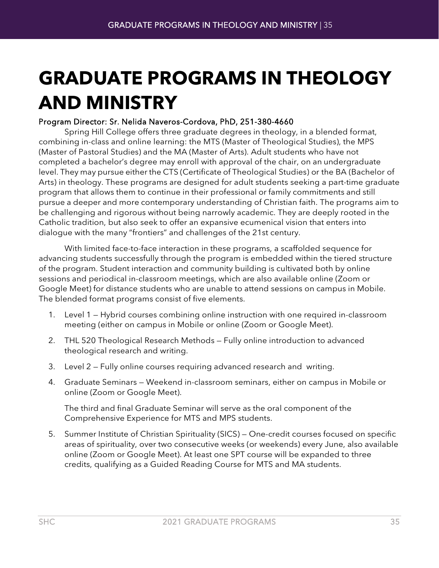# <span id="page-34-0"></span>**GRADUATE PROGRAMS IN THEOLOGY AND MINISTRY**

#### Program Director: Sr. Nelida Naveros-Cordova, PhD, 251-380-4660

Spring Hill College offers three graduate degrees in theology, in a blended format, combining in-class and online learning: the MTS (Master of Theological Studies), the MPS (Master of Pastoral Studies) and the MA (Master of Arts). Adult students who have not completed a bachelor's degree may enroll with approval of the chair, on an undergraduate level. They may pursue either the CTS (Certificate of Theological Studies) or the BA (Bachelor of Arts) in theology. These programs are designed for adult students seeking a part-time graduate program that allows them to continue in their professional or family commitments and still pursue a deeper and more contemporary understanding of Christian faith. The programs aim to be challenging and rigorous without being narrowly academic. They are deeply rooted in the Catholic tradition, but also seek to offer an expansive ecumenical vision that enters into dialogue with the many "frontiers" and challenges of the 21st century.

With limited face-to-face interaction in these programs, a scaffolded sequence for advancing students successfully through the program is embedded within the tiered structure of the program. Student interaction and community building is cultivated both by online sessions and periodical in-classroom meetings, which are also available online (Zoom or Google Meet) for distance students who are unable to attend sessions on campus in Mobile. The blended format programs consist of five elements.

- 1. Level 1 Hybrid courses combining online instruction with one required in-classroom meeting (either on campus in Mobile or online (Zoom or Google Meet).
- 2. THL 520 Theological Research Methods Fully online introduction to advanced theological research and writing.
- 3. Level 2 Fully online courses requiring advanced research and writing.
- 4. Graduate Seminars Weekend in-classroom seminars, either on campus in Mobile or online (Zoom or Google Meet).

The third and final Graduate Seminar will serve as the oral component of the Comprehensive Experience for MTS and MPS students.

5. Summer Institute of Christian Spirituality (SICS) — One-credit courses focused on specific areas of spirituality, over two consecutive weeks (or weekends) every June, also available online (Zoom or Google Meet). At least one SPT course will be expanded to three credits, qualifying as a Guided Reading Course for MTS and MA students.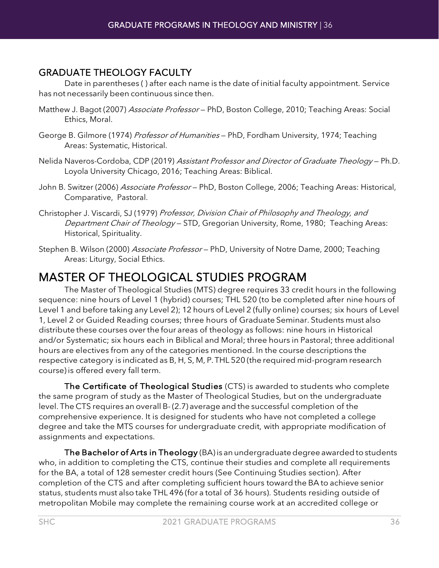#### GRADUATE THEOLOGY FACULTY

Date in parentheses ( ) after each name is the date of initial faculty appointment. Service has not necessarily been continuous since then.

- Matthew J. Bagot (2007) Associate Professor PhD, Boston College, 2010; Teaching Areas: Social Ethics, Moral.
- George B. Gilmore (1974) Professor of Humanities PhD, Fordham University, 1974; Teaching Areas: Systematic, Historical.
- Nelida Naveros-Cordoba, CDP (2019) Assistant Professor and Director of Graduate Theology Ph.D. Loyola University Chicago, 2016; Teaching Areas: Biblical.
- John B. Switzer (2006) Associate Professor PhD, Boston College, 2006; Teaching Areas: Historical, Comparative, Pastoral.
- Christopher J. Viscardi, SJ (1979) Professor, Division Chair of Philosophy and Theology, and Department Chair of Theology - STD, Gregorian University, Rome, 1980; Teaching Areas: Historical, Spirituality.
- Stephen B. Wilson (2000) Associate Professor PhD, University of Notre Dame, 2000; Teaching Areas: Liturgy, Social Ethics.

## <span id="page-35-0"></span>MASTER OF THEOLOGICAL STUDIES PROGRAM The Master of Theological Studies (MTS) degree requires <sup>33</sup> credit hours in the following

sequence: nine hours of Level 1 (hybrid) courses; THL 520 (to be completed after nine hours of Level 1 and before taking any Level 2); 12 hours of Level 2 (fully online) courses; six hours of Level 1, Level 2 or Guided Reading courses; three hours of Graduate Seminar. Students must also distribute these courses over the four areas of theology as follows: nine hours in Historical and/or Systematic; six hours each in Biblical and Moral; three hours in Pastoral; three additional hours are electives from any of the categories mentioned. In the course descriptions the respective category is indicated as B, H, S, M, P.THL 520 (the required mid-program research course) is offered every fall term.

The Certificate of Theological Studies (CTS) is awarded to students who complete the same program of study as the Master of Theological Studies, but on the undergraduate level. The CTS requires an overall B- (2.7) average and the successful completion of the comprehensive experience. It is designed for students who have not completed a college degree and take the MTS courses for undergraduate credit, with appropriate modification of assignments and expectations.

The Bachelor of Arts in Theology (BA) is an undergraduate degree awarded to students who, in addition to completing the CTS, continue their studies and complete all requirements for the BA, a total of 128 semester credit hours (See Continuing Studies section). After completion of the CTS and after completing sufficient hours toward the BA to achieve senior status, students must also take THL 496 (for a total of 36 hours). Students residing outside of metropolitan Mobile may complete the remaining course work at an accredited college or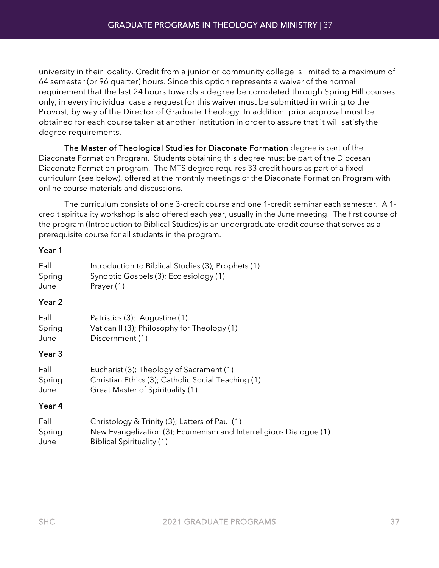university in their locality. Credit from a junior or community college is limited to a maximum of 64 semester (or 96 quarter) hours. Since this option represents a waiver of the normal requirement that the last 24 hours towards a degree be completed through Spring Hill courses only, in every individual case a request for this waiver must be submitted in writing to the Provost, by way of the Director of Graduate Theology. In addition, prior approval must be obtained for each course taken at another institution in order to assure that it will satisfythe degree requirements.

The Master of Theological Studies for Diaconate Formation degree is part of the Diaconate Formation Program. Students obtaining this degree must be part of the Diocesan Diaconate Formation program. The MTS degree requires 33 credit hours as part of a fixed curriculum (see below), offered at the monthly meetings of the Diaconate Formation Program with online course materials and discussions.

The curriculum consists of one 3-credit course and one 1-credit seminar each semester. A 1 credit spirituality workshop is also offered each year, usually in the June meeting. The first course of the program (Introduction to Biblical Studies) is an undergraduate credit course that serves as a prerequisite course for all students in the program.

#### Year 1

| Fall   | Introduction to Biblical Studies (3); Prophets (1) |
|--------|----------------------------------------------------|
| Spring | Synoptic Gospels (3); Ecclesiology (1)             |
| June   | Prayer (1)                                         |

#### Year 2

| Fall   | Patristics (3); Augustine (1)               |
|--------|---------------------------------------------|
| Spring | Vatican II (3); Philosophy for Theology (1) |
| June   | Discernment (1)                             |

#### Year 3

| Fall   | Eucharist (3); Theology of Sacrament (1)           |
|--------|----------------------------------------------------|
| Spring | Christian Ethics (3); Catholic Social Teaching (1) |
| June   | Great Master of Spirituality (1)                   |

#### Year 4

| Fall   | Christology & Trinity (3); Letters of Paul (1)                    |
|--------|-------------------------------------------------------------------|
| Spring | New Evangelization (3); Ecumenism and Interreligious Dialogue (1) |
| June   | Biblical Spirituality (1)                                         |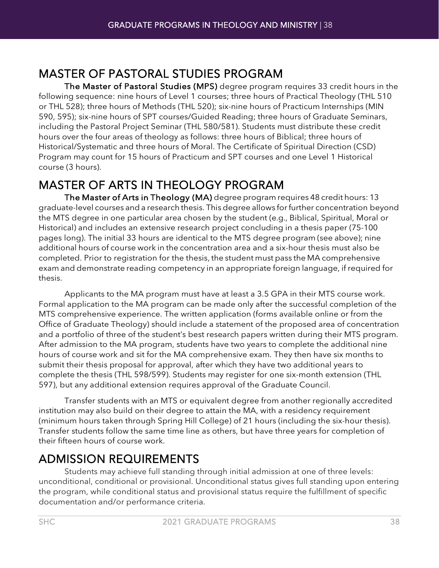# <span id="page-37-0"></span>MASTER OF PASTORAL STUDIES PROGRAM The Master of Pastoral Studies (MPS) degree program requires 33 credit hours in the

following sequence: nine hours of Level 1 courses; three hours of Practical Theology (THL 510 or THL 528); three hours of Methods (THL 520); six-nine hours of Practicum Internships (MIN 590, 595); six-nine hours of SPT courses/Guided Reading; three hours of Graduate Seminars, including the Pastoral Project Seminar (THL 580/581). Students must distribute these credit hours over the four areas of theology as follows: three hours of Biblical; three hours of Historical/Systematic and three hours of Moral. The Certificate of Spiritual Direction (CSD) Program may count for 15 hours of Practicum and SPT courses and one Level 1 Historical course (3 hours).

# <span id="page-37-1"></span>MASTER OF ARTS IN THEOLOGY PROGRAM The Master of Arts in Theology (MA) degree program requires <sup>48</sup> credit hours: <sup>13</sup>

graduate-level courses and a research thesis. This degree allows forfurther concentration beyond the MTS degree in one particular area chosen by the student (e.g., Biblical, Spiritual, Moral or Historical) and includes an extensive research project concluding in a thesis paper (75-100 pages long). The initial 33 hours are identical to the MTS degree program (see above); nine additional hours of course work in the concentration area and a six-hour thesis must also be completed. Prior to registration for the thesis, the student must pass the MA comprehensive exam and demonstrate reading competency in an appropriate foreign language, if required for thesis.

Applicants to the MA program must have at least a 3.5 GPA in their MTS course work. Formal application to the MA program can be made only after the successful completion of the MTS comprehensive experience. The written application (forms available online or from the Office of Graduate Theology) should include a statement of the proposed area of concentration and a portfolio of three of the student's best research papers written during their MTS program. After admission to the MA program, students have two years to complete the additional nine hours of course work and sit for the MA comprehensive exam. They then have six months to submit their thesis proposal for approval, after which they have two additional years to complete the thesis (THL 598/599). Students may register for one six-month extension (THL 597), but any additional extension requires approval of the Graduate Council.

Transfer students with an MTS or equivalent degree from another regionally accredited institution may also build on their degree to attain the MA, with a residency requirement (minimum hours taken through Spring Hill College) of 21 hours (including the six-hour thesis). Transfer students follow the same time line as others, but have three years for completion of their fifteen hours of course work.

<span id="page-37-2"></span>ADMISSION REQUIREMENTS<br>Students may achieve full standing through initial admission at one of three levels: unconditional, conditional or provisional. Unconditional status gives full standing upon entering the program, while conditional status and provisional status require the fulfillment of specific documentation and/or performance criteria.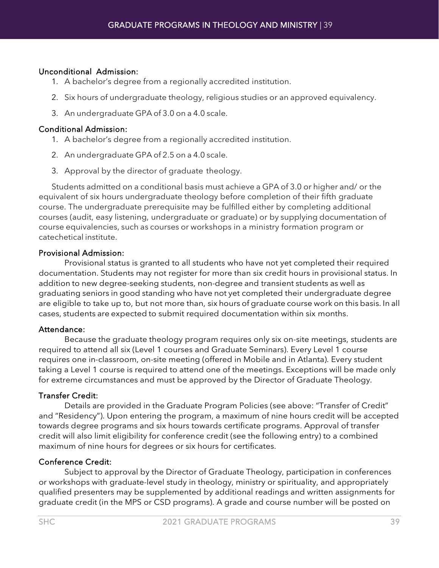#### Unconditional Admission:

- 1. A bachelor's degree from a regionally accredited institution.
- 2. Six hours of undergraduate theology, religious studies or an approved equivalency.
- 3. An undergraduate GPA of 3.0 on a 4.0 scale.

#### Conditional Admission:

- 1. A bachelor's degree from a regionally accredited institution.
- 2. An undergraduate GPA of 2.5 on a 4.0 scale.
- 3. Approval by the director of graduate theology.

Students admitted on a conditional basis must achieve a GPA of 3.0 or higher and/ or the equivalent of six hours undergraduate theology before completion of their fifth graduate course. The undergraduate prerequisite may be fulfilled either by completing additional courses (audit, easy listening, undergraduate or graduate) or by supplying documentation of course equivalencies, such as courses or workshops in a ministry formation program or catechetical institute.

#### Provisional Admission:

Provisional status is granted to all students who have not yet completed their required documentation. Students may not register for more than six credit hours in provisional status. In addition to new degree-seeking students, non-degree and transient students as well as graduating seniors in good standing who have not yet completed their undergraduate degree are eligible to take up to, but not more than, six hours of graduate course work on this basis. In all cases, students are expected to submit required documentation within six months.

#### Attendance:

Because the graduate theology program requires only six on-site meetings, students are required to attend all six (Level 1 courses and Graduate Seminars). Every Level 1 course requires one in-classroom, on-site meeting (offered in Mobile and in Atlanta). Every student taking a Level 1 course is required to attend one of the meetings. Exceptions will be made only for extreme circumstances and must be approved by the Director of Graduate Theology.

#### Transfer Credit:

Details are provided in the Graduate Program Policies (see above: "Transfer of Credit" and "Residency"). Upon entering the program, a maximum of nine hours credit will be accepted towards degree programs and six hours towards certificate programs. Approval of transfer credit will also limit eligibility for conference credit (see the following entry) to a combined maximum of nine hours for degrees or six hours for certificates.

#### Conference Credit:

Subject to approval by the Director of Graduate Theology, participation in conferences or workshops with graduate-level study in theology, ministry or spirituality, and appropriately qualified presenters may be supplemented by additional readings and written assignments for graduate credit (in the MPS or CSD programs). A grade and course number will be posted on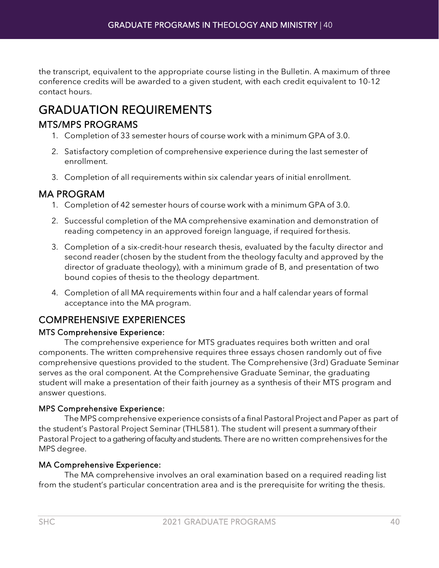the transcript, equivalent to the appropriate course listing in the Bulletin. A maximum of three conference credits will be awarded to a given student, with each credit equivalent to 10-12 contact hours.

## <span id="page-39-0"></span>GRADUATION REQUIREMENTS

#### MTS/MPS PROGRAMS

- 1. Completion of 33 semester hours of course work with a minimum GPA of 3.0.
- 2. Satisfactory completion of comprehensive experience during the last semester of enrollment.
- 3. Completion of all requirements within six calendar years of initial enrollment.

#### MA PROGRAM

- 1. Completion of 42 semester hours of course work with a minimum GPA of 3.0.
- 2. Successful completion of the MA comprehensive examination and demonstration of reading competency in an approved foreign language, if required forthesis.
- 3. Completion of a six-credit-hour research thesis, evaluated by the faculty director and second reader (chosen by the student from the theology faculty and approved by the director of graduate theology), with a minimum grade of B, and presentation of two bound copies of thesis to the theology department.
- 4. Completion of all MA requirements within four and a half calendar years of formal acceptance into the MA program.

### COMPREHENSIVE EXPERIENCES

#### MTS Comprehensive Experience:

The comprehensive experience for MTS graduates requires both written and oral components. The written comprehensive requires three essays chosen randomly out of five comprehensive questions provided to the student. The Comprehensive (3rd) Graduate Seminar serves as the oral component. At the Comprehensive Graduate Seminar, the graduating student will make a presentation of their faith journey as a synthesis of their MTS program and answer questions.

#### MPS Comprehensive Experience:

The MPS comprehensive experience consists of a final Pastoral Project and Paper as part of the student's Pastoral Project Seminar (THL581). The student will present a summary of their Pastoral Project to a gathering of faculty and students. There are no written comprehensives forthe MPS degree.

#### MA Comprehensive Experience:

The MA comprehensive involves an oral examination based on a required reading list from the student's particular concentration area and is the prerequisite for writing the thesis.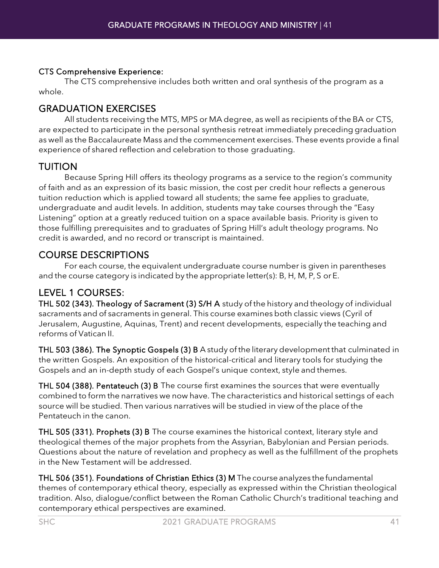#### CTS Comprehensive Experience:

The CTS comprehensive includes both written and oral synthesis of the program as a whole.

#### GRADUATION EXERCISES

All students receiving the MTS, MPS or MA degree, as well as recipients of the BA or CTS, are expected to participate in the personal synthesis retreat immediately preceding graduation as well as the Baccalaureate Mass and the commencement exercises. These events provide a final experience of shared reflection and celebration to those graduating.

#### TUITION

Because Spring Hill offers its theology programs as a service to the region's community of faith and as an expression of its basic mission, the cost per credit hour reflects a generous tuition reduction which is applied toward all students; the same fee applies to graduate, undergraduate and audit levels. In addition, students may take courses through the "Easy Listening" option at a greatly reduced tuition on a space available basis. Priority is given to those fulfilling prerequisites and to graduates of Spring Hill's adult theology programs. No credit is awarded, and no record or transcript is maintained.

#### COURSE DESCRIPTIONS

For each course, the equivalent undergraduate course number is given in parentheses and the course category is indicated by the appropriate letter(s): B, H, M, P, S orE.

### LEVEL 1 COURSES:

THL 502 (343). Theology of Sacrament (3) S/H A study of the history and theology of individual sacraments and of sacraments in general. This course examines both classic views (Cyril of Jerusalem, Augustine, Aquinas, Trent) and recent developments, especially the teaching and reforms of Vatican II.

THL 503 (386). The Synoptic Gospels (3) B A study of the literary development that culminated in the written Gospels. An exposition of the historical-critical and literary tools for studying the Gospels and an in-depth study of each Gospel's unique context, style and themes.

THL 504 (388). Pentateuch (3) B The course first examines the sources that were eventually combined to form the narratives we now have. The characteristics and historical settings of each source will be studied. Then various narratives will be studied in view of the place of the Pentateuch in the canon.

THL 505 (331). Prophets (3) B The course examines the historical context, literary style and theological themes of the major prophets from the Assyrian, Babylonian and Persian periods. Questions about the nature of revelation and prophecy as well as the fulfillment of the prophets in the New Testament will be addressed.

THL 506 (351). Foundations of Christian Ethics (3) M The courseanalyzes thefundamental themes of contemporary ethical theory, especially as expressed within the Christian theological tradition. Also, dialogue/conflict between the Roman Catholic Church's traditional teaching and contemporary ethical perspectives are examined.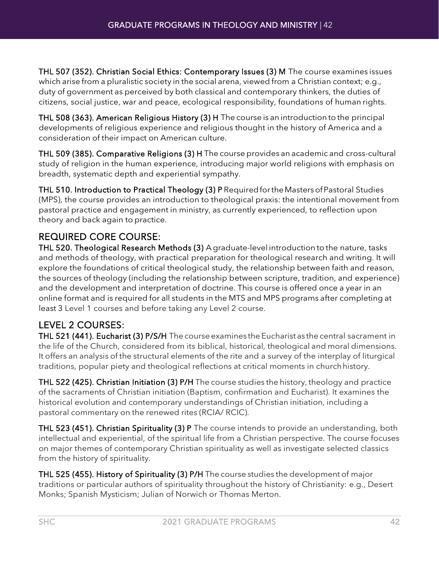THL 507 (352). Christian Social Ethics: Contemporary Issues (3) M The course examines issues which arise from a pluralistic society in the social arena, viewed from a Christian context; e.g., duty of government as perceived by both classical and contemporary thinkers, the duties of citizens, social justice, war and peace, ecological responsibility, foundations of human rights.

THL 508 (363). American Religious History (3) H The course is an introduction to the principal developments of religious experience and religious thought in the history of America and a consideration of their impact on American culture.

THL 509 (385). Comparative Religions (3) H The course provides an academic and cross-cultural study of religion in the human experience, introducing major world religions with emphasis on breadth, systematic depth and experiential sympathy.

THL 510. Introduction to Practical Theology (3) P Required for the Masters of Pastoral Studies (MPS), the course provides an introduction to theological praxis: the intentional movement from pastoral practice and engagement in ministry, as currently experienced, to reflection upon theory and back again to practice.

### REQUIRED CORE COURSE:

THL 520. Theological Research Methods (3) A graduate-level introduction to the nature, tasks and methods of theology, with practical preparation for theological research and writing. It will explore the foundations of critical theological study, the relationship between faith and reason, the sources of theology (including the relationship between scripture, tradition, and experience) and the development and interpretation of doctrine. This course is offered once a year in an online format and is required for all students in the MTS and MPS programs after completing at least 3 Level 1 courses and before taking any Level 2 course.

### LEVEL 2 COURSES:

THL 521 (441). Eucharist (3) P/S/H The course examines the Eucharist as the central sacrament in the life of the Church, considered from its biblical, historical, theological and moral dimensions. It offers an analysis of the structural elements of the rite and a survey of the interplay of liturgical traditions, popular piety and theological reflections at critical moments in churchhistory.

THL 522 (425). Christian Initiation (3) P/H The course studies the history, theology and practice of the sacraments of Christian initiation (Baptism, confirmation and Eucharist). It examines the historical evolution and contemporary understandings of Christian initiation, including a pastoral commentary on the renewed rites (RCIA/ RCIC).

THL 523 (451). Christian Spirituality (3) P The course intends to provide an understanding, both intellectual and experiential, of the spiritual life from a Christian perspective. The course focuses on major themes of contemporary Christian spirituality as well as investigate selected classics from the history of spirituality.

THL 525 (455). History of Spirituality (3) P/H The course studies the development of major traditions or particular authors of spirituality throughout the history of Christianity: e.g., Desert Monks; Spanish Mysticism; Julian of Norwich or Thomas Merton.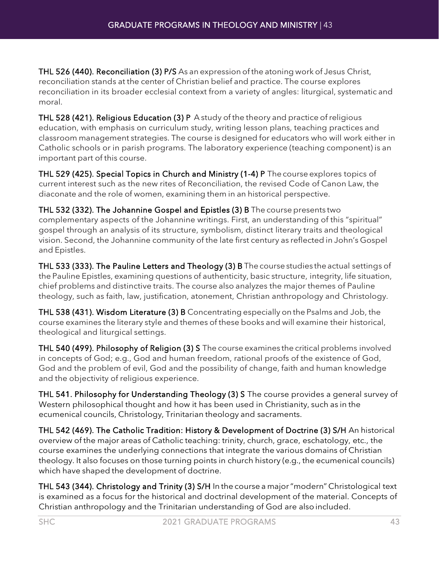THL 526 (440). Reconciliation (3) P/S As an expression of the atoning work of Jesus Christ, reconciliation stands at the center of Christian belief and practice. The course explores reconciliation in its broader ecclesial context from a variety of angles: liturgical, systematic and moral.

THL 528 (421). Religious Education (3) P A study of the theory and practice of religious education, with emphasis on curriculum study, writing lesson plans, teaching practices and classroom management strategies. The course is designed for educators who will work either in Catholic schools or in parish programs. The laboratory experience (teaching component) is an important part of this course.

THL 529 (425). Special Topics in Church and Ministry (1-4) P Thecourse explores topics of current interest such as the new rites of Reconciliation, the revised Code of Canon Law, the diaconate and the role of women, examining them in an historical perspective.

THL 532 (332). The Johannine Gospel and Epistles (3) B The coursepresents two complementary aspects of the Johannine writings. First, an understanding of this "spiritual" gospel through an analysis of its structure, symbolism, distinct literary traits and theological vision. Second, the Johannine community of the late first century as reflected in John's Gospel and Epistles.

THL 533 (333). The Pauline Letters and Theology (3) B Thecoursestudies theactual settings of the Pauline Epistles, examining questions of authenticity, basic structure, integrity, life situation, chief problems and distinctive traits. The course also analyzes the major themes of Pauline theology, such as faith, law, justification, atonement, Christian anthropology and Christology.

THL 538 (431). Wisdom Literature (3) B Concentrating especially on the Psalms and Job, the course examines the literary style and themes of these books and will examine their historical, theological and liturgical settings.

THL 540 (499). Philosophy of Religion (3) S The course examines the critical problems involved in concepts of God; e.g., God and human freedom, rational proofs of the existence of God, God and the problem of evil, God and the possibility of change, faith and human knowledge and the objectivity of religious experience.

THL 541. Philosophy for Understanding Theology (3) S The course provides a general survey of Western philosophical thought and how it has been used in Christianity, such as in the ecumenical councils, Christology, Trinitarian theology and sacraments.

THL 542 (469). The Catholic Tradition: History & Development of Doctrine (3) S/H An historical overview of the major areas of Catholic teaching: trinity, church, grace, eschatology, etc., the course examines the underlying connections that integrate the various domains of Christian theology. It also focuses on those turning points in church history (e.g., the ecumenical councils) which have shaped the development of doctrine.

THL 543 (344). Christology and Trinity (3) S/H In the course a major"modern" Christological text is examined as a focus for the historical and doctrinal development of the material. Concepts of Christian anthropology and the Trinitarian understanding of God are alsoincluded.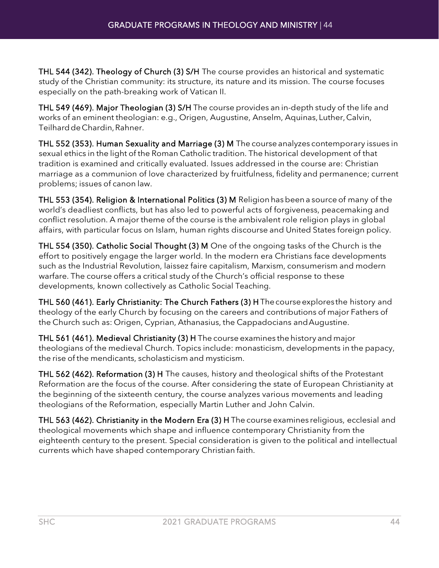THL 544 (342). Theology of Church (3) S/H The course provides an historical and systematic study of the Christian community: its structure, its nature and its mission. The course focuses especially on the path-breaking work of Vatican II.

THL 549 (469). Major Theologian (3) S/H The course provides an in-depth study of the life and works of an eminent theologian: e.g., Origen, Augustine, Anselm, Aquinas,Luther,Calvin, Teilhard de Chardin, Rahner.

THL 552 (353). Human Sexuality and Marriage (3) M The course analyzes contemporary issues in sexual ethics in the light of the Roman Catholic tradition. The historical development of that tradition is examined and critically evaluated. Issues addressed in the course are: Christian marriage as a communion of love characterized by fruitfulness, fidelity and permanence; current problems; issues of canon law.

THL 553 (354). Religion & International Politics (3) M Religion hasbeen a source of many of the world's deadliest conflicts, but has also led to powerful acts of forgiveness, peacemaking and conflict resolution. A major theme of the course is the ambivalent role religion plays in global affairs, with particular focus on Islam, human rights discourse and United States foreign policy.

THL 554 (350). Catholic Social Thought (3) M One of the ongoing tasks of the Church is the effort to positively engage the larger world. In the modern era Christians face developments such as the Industrial Revolution, laissez faire capitalism, Marxism, consumerism and modern warfare. The course offers a critical study of the Church's official response to these developments, known collectively as Catholic Social Teaching.

THL 560 (461). Early Christianity: The Church Fathers (3) H Thecourseexplores the history and theology of the early Church by focusing on the careers and contributions of major Fathers of the Church such as: Origen, Cyprian, Athanasius, the Cappadocians andAugustine.

THL 561 (461). Medieval Christianity (3) H The course examines the history and major theologians of the medieval Church. Topics include: monasticism, developments in the papacy, the rise of the mendicants, scholasticism and mysticism.

THL 562 (462). Reformation (3) H The causes, history and theological shifts of the Protestant Reformation are the focus of the course. After considering the state of European Christianity at the beginning of the sixteenth century, the course analyzes various movements and leading theologians of the Reformation, especially Martin Luther and John Calvin.

THL 563 (462). Christianity in the Modern Era (3) H The course examines religious, ecclesial and theological movements which shape and influence contemporary Christianity from the eighteenth century to the present. Special consideration is given to the political and intellectual currents which have shaped contemporary Christian faith.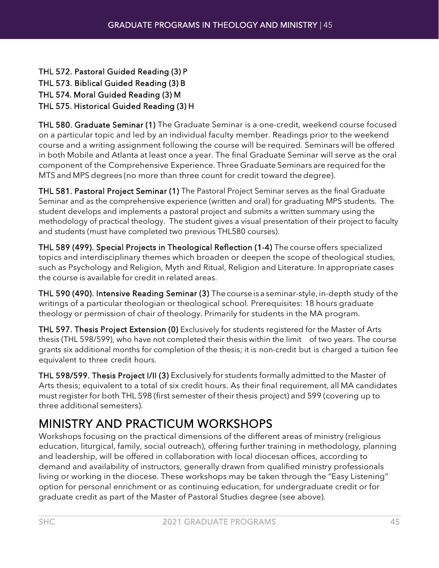THL 572. Pastoral Guided Reading (3) P THL 573. Biblical Guided Reading (3) B THL 574. Moral Guided Reading (3) M THL 575. Historical Guided Reading (3) H

THL 580. Graduate Seminar (1) The Graduate Seminar is a one-credit, weekend course focused on a particular topic and led by an individual faculty member. Readings prior to the weekend course and a writing assignment following the course will be required. Seminars will be offered in both Mobile and Atlanta at least once a year. The final Graduate Seminar will serve as the oral component of the Comprehensive Experience. Three Graduate Seminars are required forthe MTS and MPS degrees (no more than three count for credit toward thedegree).

THL 581. Pastoral Project Seminar (1) The Pastoral Project Seminar serves as the final Graduate Seminar and as the comprehensive experience (written and oral) for graduating MPS students. The student develops and implements a pastoral project and submits a written summary using the methodology of practical theology. The student gives a visual presentation of their project to faculty and students (must have completed two previous THL580 courses).

THL 589 (499). Special Projects in Theological Reflection (1-4) The courseoffers specialized topics and interdisciplinary themes which broaden or deepen the scope of theological studies, such as Psychology and Religion, Myth and Ritual, Religion and Literature. In appropriate cases the course is available for credit in related areas.

THL 590 (490). Intensive Reading Seminar (3) Thecourseis a seminar-style, in-depth study of the writings of a particular theologian or theological school. Prerequisites: 18 hours graduate theology or permission of chair of theology. Primarily for students in the MA program.

THL 597. Thesis Project Extension (0) Exclusively for students registered for the Master of Arts thesis (THL 598/599), who have not completed their thesis within the limit of two years. The course grants six additional months for completion of the thesis; it is non-credit but is charged a tuition fee equivalent to three credit hours.

THL 598/599. Thesis Project I/II (3) Exclusively for students formally admitted to the Master of Arts thesis; equivalent to a total of six credit hours. As their final requirement, all MA candidates must register for both THL 598 (first semester of their thesis project) and 599 (covering up to three additional semesters).

# <span id="page-44-0"></span>MINISTRY AND PRACTICUM WORKSHOPS<br>Workshops focusing on the practical dimensions of the different areas of ministry (religious

education, liturgical, family, social outreach), offering further training in methodology, planning and leadership, will be offered in collaboration with local diocesan offices, according to demand and availability of instructors, generally drawn from qualified ministry professionals living or working in the diocese. These workshops may be taken through the "Easy Listening" option for personal enrichment or as continuing education, for undergraduate credit or for graduate credit as part of the Master of Pastoral Studies degree (see above).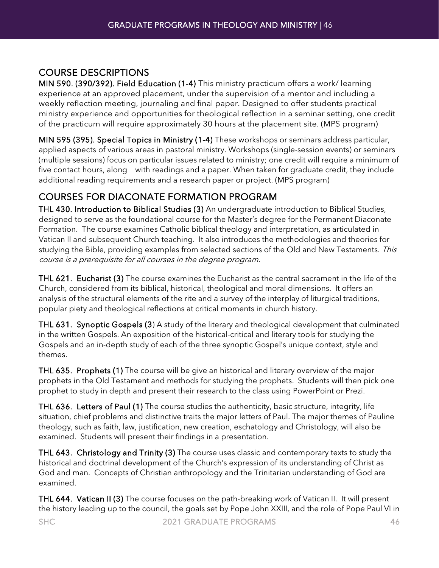### COURSE DESCRIPTIONS

MIN 590. (390/392). Field Education (1-4) This ministry practicum offers a work/ learning experience at an approved placement, under the supervision of a mentor and including a weekly reflection meeting, journaling and final paper. Designed to offer students practical ministry experience and opportunities for theological reflection in a seminar setting, one credit of the practicum will require approximately 30 hours at the placement site. (MPS program)

MIN 595 (395). Special Topics in Ministry (1-4) These workshops or seminars address particular, applied aspects of various areas in pastoral ministry. Workshops (single-session events) or seminars (multiple sessions) focus on particular issues related to ministry; one credit will require a minimum of five contact hours, along with readings and a paper. When taken for graduate credit, they include additional reading requirements and a research paper or project. (MPS program)

### COURSES FOR DIACONATE FORMATION PROGRAM

THL 430. Introduction to Biblical Studies (3) An undergraduate introduction to Biblical Studies, designed to serve as the foundational course for the Master's degree for the Permanent Diaconate Formation. The course examines Catholic biblical theology and interpretation, as articulated in Vatican II and subsequent Church teaching. It also introduces the methodologies and theories for studying the Bible, providing examples from selected sections of the Old and New Testaments. This course is a prerequisite for all courses in the degree program.

THL 621. Eucharist (3) The course examines the Eucharist as the central sacrament in the life of the Church, considered from its biblical, historical, theological and moral dimensions. It offers an analysis of the structural elements of the rite and a survey of the interplay of liturgical traditions, popular piety and theological reflections at critical moments in church history.

THL 631. Synoptic Gospels (3) A study of the literary and theological development that culminated in the written Gospels. An exposition of the historical-critical and literary tools for studying the Gospels and an in-depth study of each of the three synoptic Gospel's unique context, style and themes.

THL 635. Prophets (1) The course will be give an historical and literary overview of the major prophets in the Old Testament and methods for studying the prophets. Students will then pick one prophet to study in depth and present their research to the class using PowerPoint or Prezi.

THL 636. Letters of Paul (1) The course studies the authenticity, basic structure, integrity, life situation, chief problems and distinctive traits the major letters of Paul. The major themes of Pauline theology, such as faith, law, justification, new creation, eschatology and Christology, will also be examined. Students will present their findings in a presentation.

THL 643. Christology and Trinity (3) The course uses classic and contemporary texts to study the historical and doctrinal development of the Church's expression of its understanding of Christ as God and man. Concepts of Christian anthropology and the Trinitarian understanding of God are examined.

THL 644. Vatican II (3) The course focuses on the path-breaking work of Vatican II. It will present the history leading up to the council, the goals set by Pope John XXIII, and the role of Pope Paul VI in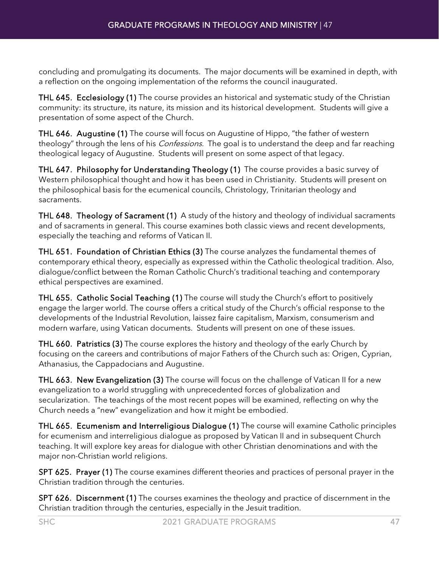concluding and promulgating its documents. The major documents will be examined in depth, with a reflection on the ongoing implementation of the reforms the council inaugurated.

THL 645. Ecclesiology (1) The course provides an historical and systematic study of the Christian community: its structure, its nature, its mission and its historical development. Students will give a presentation of some aspect of the Church.

THL 646. Augustine (1) The course will focus on Augustine of Hippo, "the father of western theology" through the lens of his *Confessions*. The goal is to understand the deep and far reaching theological legacy of Augustine. Students will present on some aspect of that legacy.

THL 647. Philosophy for Understanding Theology (1) The course provides a basic survey of Western philosophical thought and how it has been used in Christianity. Students will present on the philosophical basis for the ecumenical councils, Christology, Trinitarian theology and sacraments.

THL 648. Theology of Sacrament (1) A study of the history and theology of individual sacraments and of sacraments in general. This course examines both classic views and recent developments, especially the teaching and reforms of Vatican II.

THL 651. Foundation of Christian Ethics (3) The course analyzes the fundamental themes of contemporary ethical theory, especially as expressed within the Catholic theological tradition. Also, dialogue/conflict between the Roman Catholic Church's traditional teaching and contemporary ethical perspectives are examined.

THL 655. Catholic Social Teaching (1) The course will study the Church's effort to positively engage the larger world. The course offers a critical study of the Church's official response to the developments of the Industrial Revolution, laissez faire capitalism, Marxism, consumerism and modern warfare, using Vatican documents. Students will present on one of these issues.

THL 660. Patristics (3) The course explores the history and theology of the early Church by focusing on the careers and contributions of major Fathers of the Church such as: Origen, Cyprian, Athanasius, the Cappadocians and Augustine.

THL 663. New Evangelization (3) The course will focus on the challenge of Vatican II for a new evangelization to a world struggling with unprecedented forces of globalization and secularization. The teachings of the most recent popes will be examined, reflecting on why the Church needs a "new" evangelization and how it might be embodied.

THL 665. Ecumenism and Interreligious Dialogue (1) The course will examine Catholic principles for ecumenism and interreligious dialogue as proposed by Vatican II and in subsequent Church teaching. It will explore key areas for dialogue with other Christian denominations and with the major non-Christian world religions.

SPT 625. Prayer (1) The course examines different theories and practices of personal prayer in the Christian tradition through the centuries.

SPT 626. Discernment (1) The courses examines the theology and practice of discernment in the Christian tradition through the centuries, especially in the Jesuit tradition.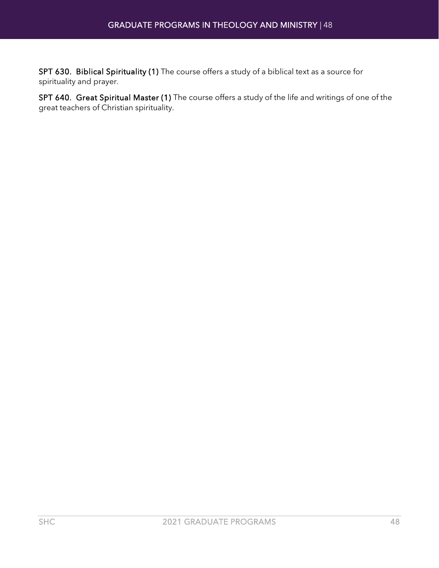SPT 630. Biblical Spirituality (1) The course offers a study of a biblical text as a source for spirituality and prayer.

SPT 640. Great Spiritual Master (1) The course offers a study of the life and writings of one of the great teachers of Christian spirituality.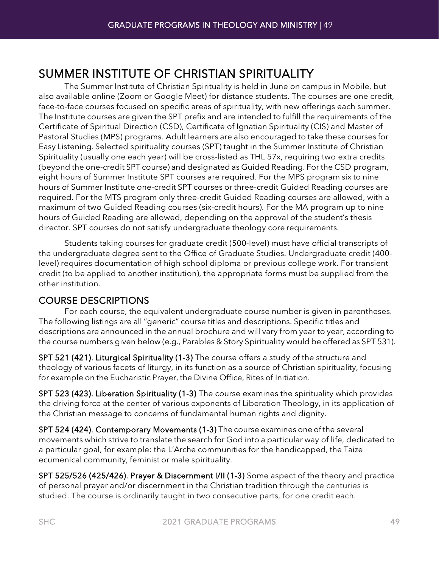# <span id="page-48-0"></span>SUMMER INSTITUTE OF CHRISTIAN SPIRITUALITY The Summer Institute of Christian Spirituality is held in June on campus in Mobile, but

also available online (Zoom or Google Meet) for distance students. The courses are one credit, face-to-face courses focused on specific areas of spirituality, with new offerings each summer. The Institute courses are given the SPT prefix and are intended to fulfill the requirements of the Certificate of Spiritual Direction (CSD), Certificate of Ignatian Spirituality (CIS) and Master of Pastoral Studies (MPS) programs. Adult learners are also encouraged to take these courses for Easy Listening. Selected spirituality courses (SPT) taught in the Summer Institute of Christian Spirituality (usually one each year) will be cross-listed as THL 57x, requiring two extra credits (beyond the one-credit SPT course) and designated as Guided Reading. For the CSD program, eight hours of Summer Institute SPT courses are required. For the MPS program six to nine hours of Summer Institute one-credit SPT courses or three-credit Guided Reading courses are required. For the MTS program only three-credit Guided Reading courses are allowed, with a maximum of two Guided Reading courses (six-credit hours). For the MA program up to nine hours of Guided Reading are allowed, depending on the approval of the student's thesis director. SPT courses do not satisfy undergraduate theology core requirements.

Students taking courses for graduate credit (500-level) must have official transcripts of the undergraduate degree sent to the Office of Graduate Studies. Undergraduate credit (400 level) requires documentation of high school diploma or previous college work. For transient credit (to be applied to another institution), the appropriate forms must be supplied from the other institution.

### COURSE DESCRIPTIONS

For each course, the equivalent undergraduate course number is given in parentheses. The following listings are all "generic" course titles and descriptions. Specific titles and descriptions are announced in the annual brochure and will vary from year to year, according to the course numbers given below (e.g., Parables & Story Spirituality would be offered as SPT 531).

SPT 521 (421). Liturgical Spirituality (1-3) The course offers a study of the structure and theology of various facets of liturgy, in its function as a source of Christian spirituality, focusing for example on the Eucharistic Prayer, the Divine Office, Rites of Initiation.

SPT 523 (423). Liberation Spirituality (1-3) The course examines the spirituality which provides the driving force at the center of various exponents of Liberation Theology, in its application of the Christian message to concerns of fundamental human rights and dignity.

SPT 524 (424). Contemporary Movements (1-3) The course examines one of the several movements which strive to translate the search for God into a particular way of life, dedicated to a particular goal, for example: the L'Arche communities for the handicapped, the Taize ecumenical community, feminist or male spirituality.

SPT 525/526 (425/426). Prayer & Discernment I/II (1-3) Some aspect of the theory and practice of personal prayer and/or discernment in the Christian tradition through the centuries is studied. The course is ordinarily taught in two consecutive parts, for one credit each.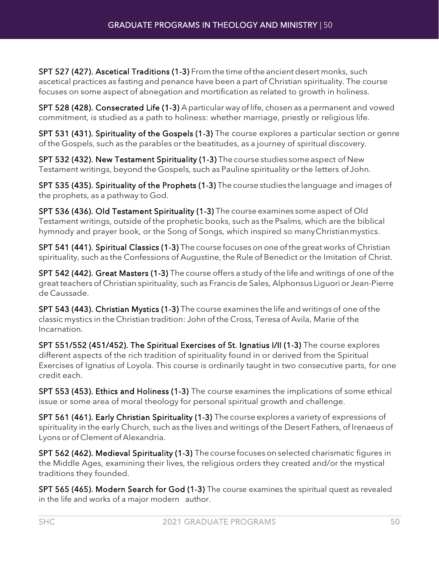SPT 527 (427). Ascetical Traditions (1-3) From the time ofthe ancientdesert monks, such ascetical practices as fasting and penance have been a part of Christian spirituality. The course focuses on some aspect of abnegation and mortification as related to growth in holiness.

SPT 528 (428). Consecrated Life (1-3) A particular way of life, chosen as a permanent and vowed commitment, is studied as a path to holiness: whether marriage, priestly or religious life.

SPT 531 (431). Spirituality of the Gospels (1-3) The course explores a particular section or genre of the Gospels, such as the parables or the beatitudes, as a journey of spiritual discovery.

SPT 532 (432). New Testament Spirituality (1-3) The course studies some aspect of New Testament writings, beyond the Gospels, such as Pauline spirituality or the letters of John.

SPT 535 (435). Spirituality of the Prophets (1-3) The course studies the language and images of the prophets, as a pathway to God.

SPT 536 (436). Old Testament Spirituality (1-3) The course examines some aspect of Old Testament writings, outside of the prophetic books, such as the Psalms, which are the biblical hymnody and prayer book, or the Song of Songs, which inspired so manyChristianmystics.

SPT 541 (441). Spiritual Classics (1-3) The course focuses on one of the great works of Christian spirituality, such as the Confessions of Augustine, the Rule of Benedict or the Imitation of Christ.

SPT 542 (442). Great Masters (1-3) The course offers a study of the life and writings of one of the great teachers of Christian spirituality, such as Francis de Sales, Alphonsus Liguori or Jean-Pierre de Caussade.

SPT 543 (443). Christian Mystics (1-3) The course examines the life and writings of one of the classic mystics in the Christian tradition: John of the Cross, Teresa of Avila, Marie of the Incarnation.

SPT 551/552 (451/452). The Spiritual Exercises of St. Ignatius I/II (1-3) The course explores different aspects of the rich tradition of spirituality found in or derived from the Spiritual Exercises of Ignatius of Loyola. This course is ordinarily taught in two consecutive parts, for one credit each.

SPT 553 (453). Ethics and Holiness (1-3) The course examines the implications of some ethical issue or some area of moral theology for personal spiritual growth and challenge.

SPT 561 (461). Early Christian Spirituality (1-3) The course explores a variety of expressions of spirituality in the early Church, such as the lives and writings of the Desert Fathers, of Irenaeus of Lyons or of Clement of Alexandria.

SPT 562 (462). Medieval Spirituality (1-3) The course focuseson selected charismatic figures in the Middle Ages, examining their lives, the religious orders they created and/or the mystical traditions they founded.

SPT 565 (465). Modern Search for God (1-3) The course examines the spiritual quest as revealed in the life and works of a major modern author.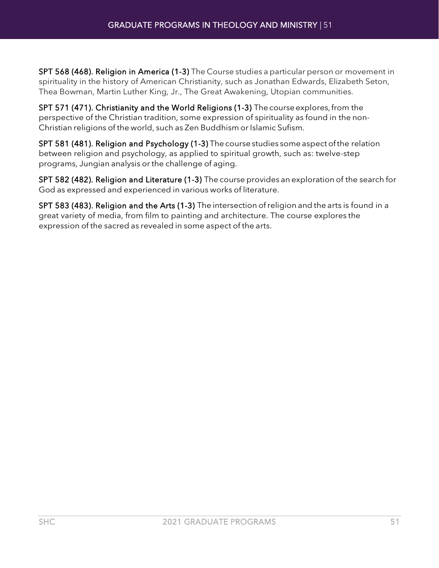SPT 568 (468). Religion in America (1-3) The Course studies a particular person or movement in spirituality in the history of American Christianity, such as Jonathan Edwards, Elizabeth Seton, Thea Bowman, Martin Luther King, Jr., The Great Awakening, Utopian communities.

SPT 571 (471). Christianity and the World Religions (1-3) The course explores, from the perspective of the Christian tradition, some expression of spirituality as found in the non-Christian religions of the world, such as Zen Buddhism or Islamic Sufism.

SPT 581 (481). Religion and Psychology (1-3) The course studies someaspectofthe relation between religion and psychology, as applied to spiritual growth, such as: twelve-step programs, Jungian analysis or the challenge of aging.

SPT 582 (482). Religion and Literature (1-3) The course provides an exploration of the search for God as expressed and experienced in various works of literature.

SPT 583 (483). Religion and the Arts (1-3) The intersection ofreligion and the arts is found in a great variety of media, from film to painting and architecture. The course explores the expression of the sacred as revealed in some aspect of the arts.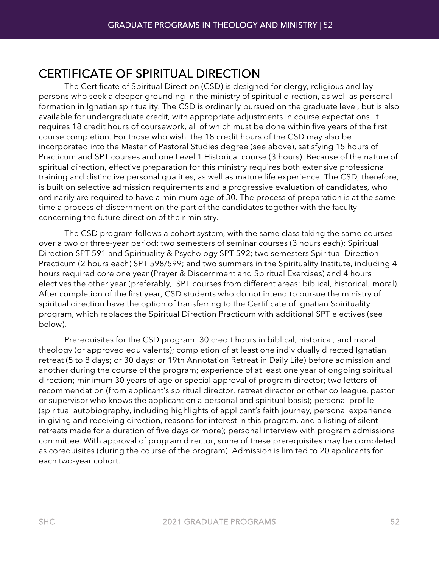## <span id="page-51-0"></span>CERTIFICATE OF SPIRITUAL DIRECTION The Certificate of Spiritual Direction (CSD) is designed for clergy, religious and lay

persons who seek a deeper grounding in the ministry of spiritual direction, as well as personal formation in Ignatian spirituality. The CSD is ordinarily pursued on the graduate level, but is also available for undergraduate credit, with appropriate adjustments in course expectations. It requires 18 credit hours of coursework, all of which must be done within five years of the first course completion. For those who wish, the 18 credit hours of the CSD may also be incorporated into the Master of Pastoral Studies degree (see above), satisfying 15 hours of Practicum and SPT courses and one Level 1 Historical course (3 hours). Because of the nature of spiritual direction, effective preparation for this ministry requires both extensive professional training and distinctive personal qualities, as well as mature life experience. The CSD, therefore, is built on selective admission requirements and a progressive evaluation of candidates, who ordinarily are required to have a minimum age of 30. The process of preparation is at the same time a process of discernment on the part of the candidates together with the faculty concerning the future direction of their ministry.

The CSD program follows a cohort system, with the same class taking the same courses over a two or three-year period: two semesters of seminar courses (3 hours each): Spiritual Direction SPT 591 and Spirituality & Psychology SPT 592; two semesters Spiritual Direction Practicum (2 hours each) SPT 598/599; and two summers in the Spirituality Institute, including 4 hours required core one year (Prayer & Discernment and Spiritual Exercises) and 4 hours electives the other year (preferably, SPT courses from different areas: biblical, historical, moral). After completion of the first year, CSD students who do not intend to pursue the ministry of spiritual direction have the option of transferring to the Certificate of Ignatian Spirituality program, which replaces the Spiritual Direction Practicum with additional SPT electives (see below).

Prerequisites for the CSD program: 30 credit hours in biblical, historical, and moral theology (or approved equivalents); completion of at least one individually directed Ignatian retreat (5 to 8 days; or 30 days; or 19th Annotation Retreat in Daily Life) before admission and another during the course of the program; experience of at least one year of ongoing spiritual direction; minimum 30 years of age or special approval of program director; two letters of recommendation (from applicant's spiritual director, retreat director or other colleague, pastor or supervisor who knows the applicant on a personal and spiritual basis); personal profile (spiritual autobiography, including highlights of applicant's faith journey, personal experience in giving and receiving direction, reasons for interest in this program, and a listing of silent retreats made for a duration of five days or more); personal interview with program admissions committee. With approval of program director, some of these prerequisites may be completed as corequisites (during the course of the program). Admission is limited to 20 applicants for each two-year cohort.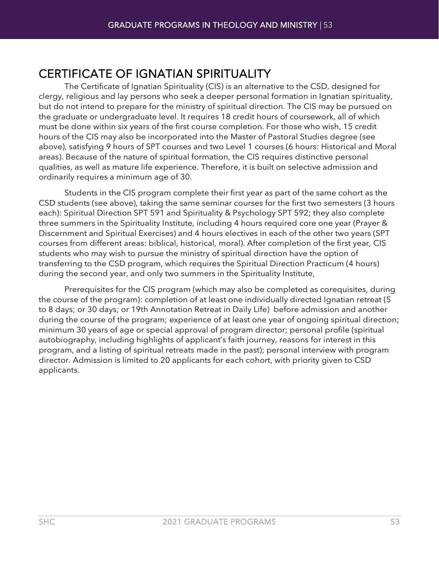# <span id="page-52-0"></span>CERTIFICATE OF IGNATIAN SPIRITUALITY The Certificate of Ignatian Spirituality (CIS) is an alternative to the CSD, designed for

clergy, religious and lay persons who seek a deeper personal formation in Ignatian spirituality, but do not intend to prepare for the ministry of spiritual direction. The CIS may be pursued on the graduate or undergraduate level. It requires 18 credit hours of coursework, all of which must be done within six years of the first course completion. For those who wish, 15 credit hours of the CIS may also be incorporated into the Master of Pastoral Studies degree (see above), satisfying 9 hours of SPT courses and two Level 1 courses (6 hours: Historical and Moral areas). Because of the nature of spiritual formation, the CIS requires distinctive personal qualities, as well as mature life experience. Therefore, it is built on selective admission and ordinarily requires a minimum age of 30.

Students in the CIS program complete their first year as part of the same cohort as the CSD students (see above), taking the same seminar courses for the first two semesters (3 hours each): Spiritual Direction SPT 591 and Spirituality & Psychology SPT 592; they also complete three summers in the Spirituality Institute, including 4 hours required core one year (Prayer & Discernment and Spiritual Exercises) and 4 hours electives in each of the other two years (SPT courses from different areas: biblical, historical, moral). After completion of the first year, CIS students who may wish to pursue the ministry of spiritual direction have the option of transferring to the CSD program, which requires the Spiritual Direction Practicum (4 hours) during the second year, and only two summers in the Spirituality Institute,

Prerequisites for the CIS program (which may also be completed as corequisites, during the course of the program): completion of at least one individually directed Ignatian retreat (5 to 8 days; or 30 days; or 19th Annotation Retreat in Daily Life) before admission and another during the course of the program; experience of at least one year of ongoing spiritual direction; minimum 30 years of age or special approval of program director; personal profile (spiritual autobiography, including highlights of applicant's faith journey, reasons for interest in this program, and a listing of spiritual retreats made in the past); personal interview with program director. Admission is limited to 20 applicants for each cohort, with priority given to CSD applicants.